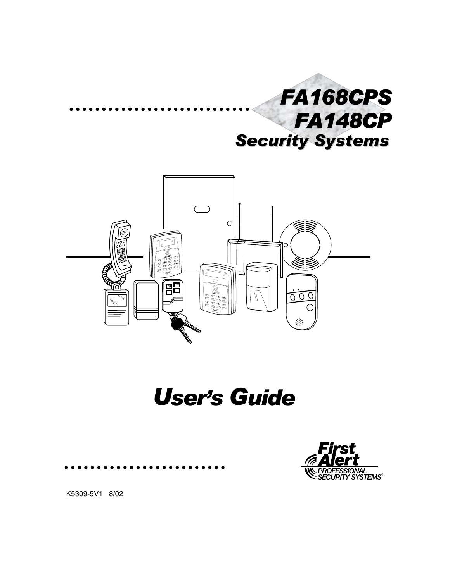



# User's Guide



K5309-5V1 8/02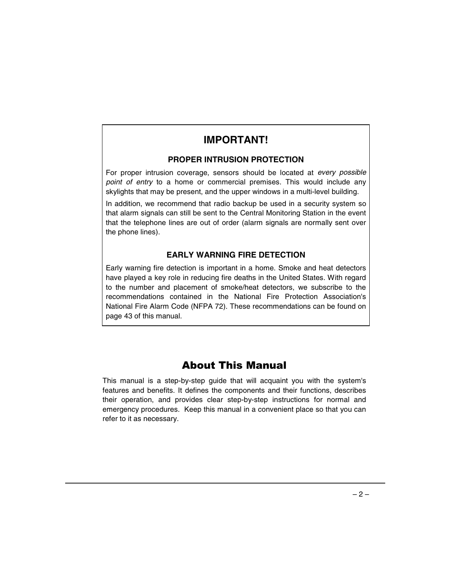## **IMPORTANT!**

### **PROPER INTRUSION PROTECTION**

For proper intrusion coverage, sensors should be located at every possible point of entry to a home or commercial premises. This would include any skylights that may be present, and the upper windows in a multi-level building.

In addition, we recommend that radio backup be used in a security system so that alarm signals can still be sent to the Central Monitoring Station in the event that the telephone lines are out of order (alarm signals are normally sent over the phone lines).

### **EARLY WARNING FIRE DETECTION**

Early warning fire detection is important in a home. Smoke and heat detectors have played a key role in reducing fire deaths in the United States. With regard to the number and placement of smoke/heat detectors, we subscribe to the recommendations contained in the National Fire Protection Association's National Fire Alarm Code (NFPA 72). These recommendations can be found on page 43 of this manual.

## **About This Manual**

This manual is a step-by-step guide that will acquaint you with the system's features and benefits. It defines the components and their functions, describes their operation, and provides clear step-by-step instructions for normal and emergency procedures. Keep this manual in a convenient place so that you can refer to it as necessary.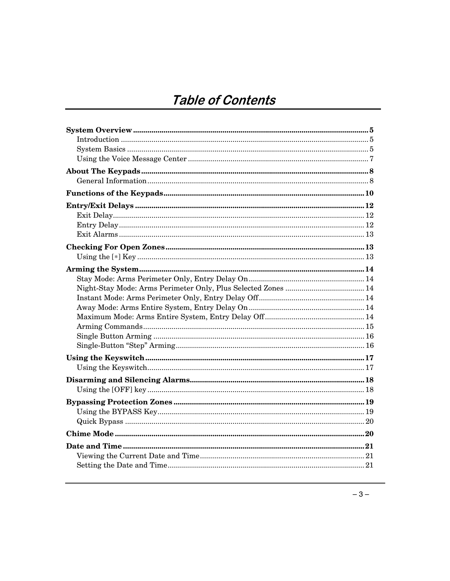## Table of Contents

| $\label{eq:1} \textbf{Introduction} \,\, \ldots \,\, \ldots \,\, \ldots \,\, \ldots \,\, \ldots \,\, \ldots \,\, \ldots \,\, \ldots \,\, \ldots \,\, \ldots \,\, \ldots \,\, \ldots \,\, \ldots \,\, \ldots \,\, \ldots \,\, \ldots \,\, \ldots \,\, \ldots \,\, \ldots \,\, \ldots \,\, \ldots \,\, \ldots \,\, \ldots \,\, \ldots \,\, \ldots \,\, \ldots \,\, \ldots \,\, \ldots \,\, \ldots \,\, \ldots \,\, \ldots \,\, \ldots \,\, \ldots \,\, \ldots \,\,$ |
|-------------------------------------------------------------------------------------------------------------------------------------------------------------------------------------------------------------------------------------------------------------------------------------------------------------------------------------------------------------------------------------------------------------------------------------------------------------------|
|                                                                                                                                                                                                                                                                                                                                                                                                                                                                   |
|                                                                                                                                                                                                                                                                                                                                                                                                                                                                   |
|                                                                                                                                                                                                                                                                                                                                                                                                                                                                   |
|                                                                                                                                                                                                                                                                                                                                                                                                                                                                   |
|                                                                                                                                                                                                                                                                                                                                                                                                                                                                   |
|                                                                                                                                                                                                                                                                                                                                                                                                                                                                   |
|                                                                                                                                                                                                                                                                                                                                                                                                                                                                   |
|                                                                                                                                                                                                                                                                                                                                                                                                                                                                   |
|                                                                                                                                                                                                                                                                                                                                                                                                                                                                   |
|                                                                                                                                                                                                                                                                                                                                                                                                                                                                   |
|                                                                                                                                                                                                                                                                                                                                                                                                                                                                   |
|                                                                                                                                                                                                                                                                                                                                                                                                                                                                   |
|                                                                                                                                                                                                                                                                                                                                                                                                                                                                   |
|                                                                                                                                                                                                                                                                                                                                                                                                                                                                   |
|                                                                                                                                                                                                                                                                                                                                                                                                                                                                   |
|                                                                                                                                                                                                                                                                                                                                                                                                                                                                   |
|                                                                                                                                                                                                                                                                                                                                                                                                                                                                   |
|                                                                                                                                                                                                                                                                                                                                                                                                                                                                   |
|                                                                                                                                                                                                                                                                                                                                                                                                                                                                   |
|                                                                                                                                                                                                                                                                                                                                                                                                                                                                   |
|                                                                                                                                                                                                                                                                                                                                                                                                                                                                   |
|                                                                                                                                                                                                                                                                                                                                                                                                                                                                   |
|                                                                                                                                                                                                                                                                                                                                                                                                                                                                   |
|                                                                                                                                                                                                                                                                                                                                                                                                                                                                   |
|                                                                                                                                                                                                                                                                                                                                                                                                                                                                   |
|                                                                                                                                                                                                                                                                                                                                                                                                                                                                   |
|                                                                                                                                                                                                                                                                                                                                                                                                                                                                   |
|                                                                                                                                                                                                                                                                                                                                                                                                                                                                   |
|                                                                                                                                                                                                                                                                                                                                                                                                                                                                   |
|                                                                                                                                                                                                                                                                                                                                                                                                                                                                   |
|                                                                                                                                                                                                                                                                                                                                                                                                                                                                   |
|                                                                                                                                                                                                                                                                                                                                                                                                                                                                   |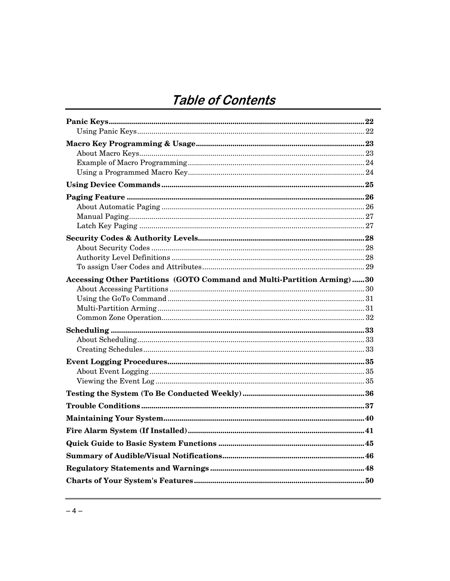## Table of Contents

| Accessing Other Partitions (GOTO Command and Multi-Partition Arming)30 |  |
|------------------------------------------------------------------------|--|
|                                                                        |  |
|                                                                        |  |
|                                                                        |  |
|                                                                        |  |
|                                                                        |  |
|                                                                        |  |
|                                                                        |  |
|                                                                        |  |
|                                                                        |  |
|                                                                        |  |
|                                                                        |  |
|                                                                        |  |
|                                                                        |  |
|                                                                        |  |
|                                                                        |  |
|                                                                        |  |
|                                                                        |  |
|                                                                        |  |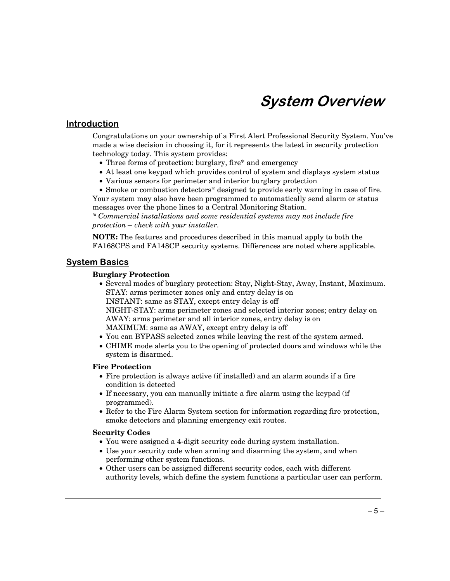### <u>Introduction</u>

Congratulations on your ownership of a First Alert Professional Security System. You've made a wise decision in choosing it, for it represents the latest in security protection technology today. This system provides:

- Three forms of protection: burglary, fire\* and emergency
- At least one keypad which provides control of system and displays system status
- Various sensors for perimeter and interior burglary protection
- Smoke or combustion detectors\* designed to provide early warning in case of fire.

Your system may also have been programmed to automatically send alarm or status messages over the phone lines to a Central Monitoring Station.

*\* Commercial installations and some residential systems may not include fire protection – check with your installer.* 

**NOTE:** The features and procedures described in this manual apply to both the FA168CPS and FA148CP security systems. Differences are noted where applicable.

### <u>System Basics</u>

#### **Burglary Protection**

- Several modes of burglary protection: Stay, Night-Stay, Away, Instant, Maximum. STAY: arms perimeter zones only and entry delay is on INSTANT: same as STAY, except entry delay is off NIGHT-STAY: arms perimeter zones and selected interior zones; entry delay on AWAY: arms perimeter and all interior zones, entry delay is on
	- MAXIMUM: same as AWAY, except entry delay is off
- You can BYPASS selected zones while leaving the rest of the system armed.
- CHIME mode alerts you to the opening of protected doors and windows while the system is disarmed.

#### **Fire Protection**

- Fire protection is always active (if installed) and an alarm sounds if a fire condition is detected
- If necessary, you can manually initiate a fire alarm using the keypad (if programmed).
- Refer to the Fire Alarm System section for information regarding fire protection, smoke detectors and planning emergency exit routes.

#### **Security Codes**

- You were assigned a 4-digit security code during system installation.
- Use your security code when arming and disarming the system, and when performing other system functions.
- Other users can be assigned different security codes, each with different authority levels, which define the system functions a particular user can perform.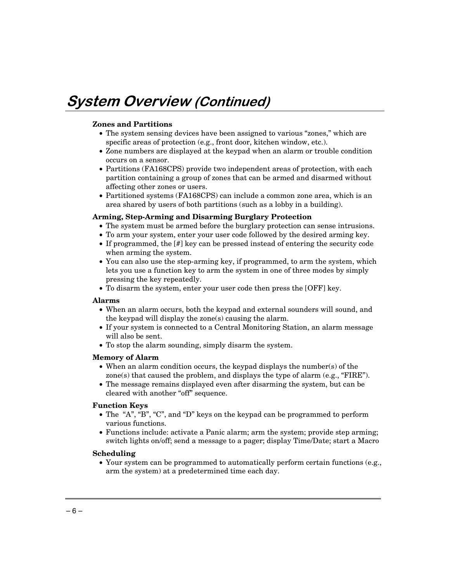#### **Zones and Partitions**

- The system sensing devices have been assigned to various "zones," which are specific areas of protection (e.g., front door, kitchen window, etc.).
- Zone numbers are displayed at the keypad when an alarm or trouble condition occurs on a sensor.
- Partitions (FA168CPS) provide two independent areas of protection, with each partition containing a group of zones that can be armed and disarmed without affecting other zones or users.
- Partitioned systems (FA168CPS) can include a common zone area, which is an area shared by users of both partitions (such as a lobby in a building).

#### **Arming, Step-Arming and Disarming Burglary Protection**

- The system must be armed before the burglary protection can sense intrusions.
- To arm your system, enter your user code followed by the desired arming key.
- If programmed, the [#] key can be pressed instead of entering the security code when arming the system.
- You can also use the step-arming key, if programmed, to arm the system, which lets you use a function key to arm the system in one of three modes by simply pressing the key repeatedly.
- To disarm the system, enter your user code then press the [OFF] key.

#### **Alarms**

- When an alarm occurs, both the keypad and external sounders will sound, and the keypad will display the zone(s) causing the alarm.
- If your system is connected to a Central Monitoring Station, an alarm message will also be sent.
- To stop the alarm sounding, simply disarm the system.

#### **Memory of Alarm**

- When an alarm condition occurs, the keypad displays the number(s) of the zone(s) that caused the problem, and displays the type of alarm (e.g., "FIRE").
- The message remains displayed even after disarming the system, but can be cleared with another "off" sequence.

#### **Function Keys**

- The "A", "B", "C", and "D" keys on the keypad can be programmed to perform various functions.
- Functions include: activate a Panic alarm; arm the system; provide step arming; switch lights on/off; send a message to a pager; display Time/Date; start a Macro

#### **Scheduling**

• Your system can be programmed to automatically perform certain functions (e.g., arm the system) at a predetermined time each day.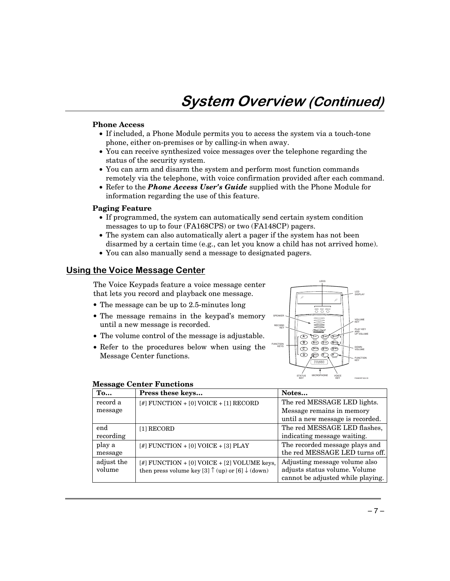## **System Overview (Continued)**

#### **Phone Access**

- If included, a Phone Module permits you to access the system via a touch-tone phone, either on-premises or by calling-in when away.
- You can receive synthesized voice messages over the telephone regarding the status of the security system.
- You can arm and disarm the system and perform most function commands remotely via the telephone, with voice confirmation provided after each command.
- Refer to the *Phone Access User's Guide* supplied with the Phone Module for information regarding the use of this feature.

#### **Paging Feature**

- If programmed, the system can automatically send certain system condition messages to up to four (FA168CPS) or two (FA148CP) pagers.
- The system can also automatically alert a pager if the system has not been disarmed by a certain time (e.g., can let you know a child has not arrived home).
- You can also manually send a message to designated pagers.

#### <u>Using the Voice Message Center</u>

The Voice Keypads feature a voice message center that lets you record and playback one message.

- The message can be up to 2.5-minutes long
- The message remains in the keypad's memory until a new message is recorded.
- The volume control of the message is adjustable.
- Refer to the procedures below when using the Message Center functions.



|                       | <b>Message Center Functions</b> |
|-----------------------|---------------------------------|
| $\mathbf{r}_{\alpha}$ | <b>Dross those kovs</b>         |

| To         | Press these keys                                                     | Notes                             |
|------------|----------------------------------------------------------------------|-----------------------------------|
| record a   | $[$ #] FUNCTION + $[0]$ VOICE + $[1]$ RECORD                         | The red MESSAGE LED lights.       |
| message    |                                                                      | Message remains in memory         |
|            |                                                                      | until a new message is recorded.  |
| end        | [1] RECORD                                                           | The red MESSAGE LED flashes,      |
| recording  |                                                                      | indicating message waiting.       |
| play a     | [#] FUNCTION + [0] VOICE + [3] PLAY                                  | The recorded message plays and    |
| message    |                                                                      | the red MESSAGE LED turns off.    |
| adjust the | $[$ FUNCTION + $[0]$ VOICE + $[2]$ VOLUME keys,                      | Adjusting message volume also     |
| volume     | then press volume key [3] $\uparrow$ (up) or [6] $\downarrow$ (down) | adjusts status volume. Volume     |
|            |                                                                      | cannot be adjusted while playing. |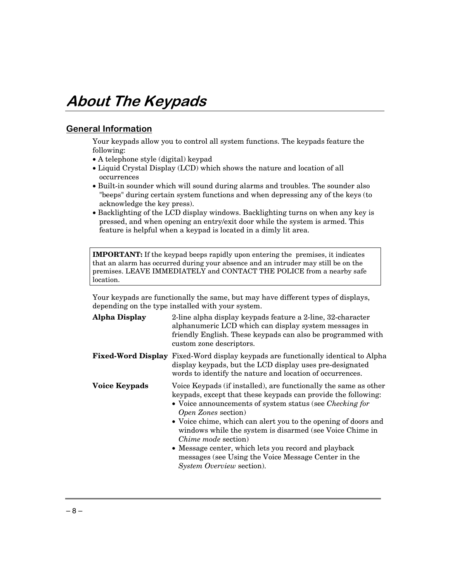## **About The Keypads**

### **General Information**

Your keypads allow you to control all system functions. The keypads feature the following:

- A telephone style (digital) keypad
- Liquid Crystal Display (LCD) which shows the nature and location of all occurrences
- Built-in sounder which will sound during alarms and troubles. The sounder also "beeps" during certain system functions and when depressing any of the keys (to acknowledge the key press).
- Backlighting of the LCD display windows. Backlighting turns on when any key is pressed, and when opening an entry/exit door while the system is armed. This feature is helpful when a keypad is located in a dimly lit area.

**IMPORTANT:** If the keypad beeps rapidly upon entering the premises, it indicates that an alarm has occurred during your absence and an intruder may still be on the premises. LEAVE IMMEDIATELY and CONTACT THE POLICE from a nearby safe location.

Your keypads are functionally the same, but may have different types of displays, depending on the type installed with your system.

| <b>Alpha Display</b> | 2-line alpha display keypads feature a 2-line, 32-character<br>alphanumeric LCD which can display system messages in<br>friendly English. These keypads can also be programmed with<br>custom zone descriptors.                                                                                                                                                                                                                                                                                                                             |
|----------------------|---------------------------------------------------------------------------------------------------------------------------------------------------------------------------------------------------------------------------------------------------------------------------------------------------------------------------------------------------------------------------------------------------------------------------------------------------------------------------------------------------------------------------------------------|
|                      | <b>Fixed-Word Display</b> Fixed-Word display keypads are functionally identical to Alpha<br>display keypads, but the LCD display uses pre-designated<br>words to identify the nature and location of occurrences.                                                                                                                                                                                                                                                                                                                           |
| <b>Voice Keypads</b> | Voice Keypads (if installed), are functionally the same as other<br>keypads, except that these keypads can provide the following:<br>• Voice announcements of system status (see <i>Checking for</i><br>Open Zones section)<br>• Voice chime, which can alert you to the opening of doors and<br>windows while the system is disarmed (see Voice Chime in<br><i>Chime mode</i> section)<br>• Message center, which lets you record and playback<br>messages (see Using the Voice Message Center in the<br><i>System Overview section</i> ). |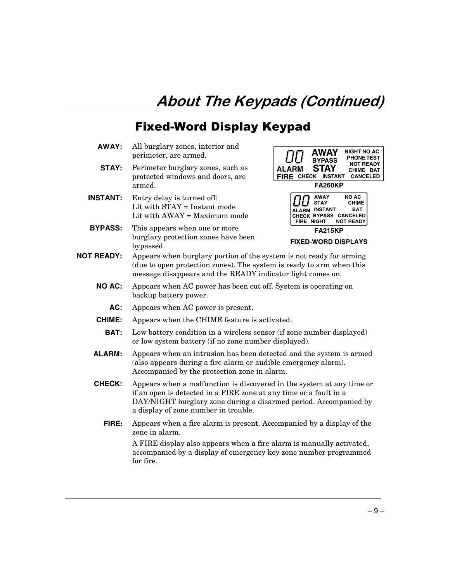## **Fixed-Word Display Keypad**

- **AWAY:** All burglary zones, interior and perimeter, are armed.
- **STAY:** Perimeter burglary zones, such as protected windows and doors, are armed.
- **INSTANT:** Entry delay is turned off: Lit with STAY = Instant mode Lit with AWAY = Maximum mode
- **BYPASS:** This appears when one or more burglary protection zones have been bypassed.

| <b>AWAY</b><br><b>NIGHT NO AC</b><br><b>PHONE TEST</b><br><b>BYPASS</b><br><b>NOT READY</b><br><b>STAY</b><br><b>ALARM</b><br>CHIME BAT<br><b>FIRE CHECK</b><br>INSTANT<br><b>CANCELED</b><br><b>FA260KP</b> |  |
|--------------------------------------------------------------------------------------------------------------------------------------------------------------------------------------------------------------|--|
| <b>NO AC</b><br><b>AWAY</b><br><b>STAY</b><br><b>CHIME</b><br><b>INSTANT</b><br>BAT<br>ALARM<br>CHECK BYPASS CANCELED<br><b>NOT READY</b><br>NIGHT<br>FIRE                                                   |  |
| <b>FA215KP</b><br><b>FIXED-WORD DISPLAYS</b>                                                                                                                                                                 |  |

- **NOT READY:** Appears when burglary portion of the system is not ready for arming (due to open protection zones). The system is ready to arm when this message disappears and the READY indicator light comes on.
	- **NO AC:** Appears when AC power has been cut off. System is operating on backup battery power.
		- **AC:** Appears when AC power is present.
	- **CHIME:** Appears when the CHIME feature is activated.
		- **BAT:** Low battery condition in a wireless sensor (if zone number displayed) or low system battery (if no zone number displayed).
	- **ALARM:** Appears when an intrusion has been detected and the system is armed (also appears during a fire alarm or audible emergency alarm). Accompanied by the protection zone in alarm.
	- **CHECK:** Appears when a malfunction is discovered in the system at any time or if an open is detected in a FIRE zone at any time or a fault in a DAY/NIGHT burglary zone during a disarmed period. Accompanied by a display of zone number in trouble.
		- **FIRE:** Appears when a fire alarm is present. Accompanied by a display of the zone in alarm.

A FIRE display also appears when a fire alarm is manually activated, accompanied by a display of emergency key zone number programmed for fire.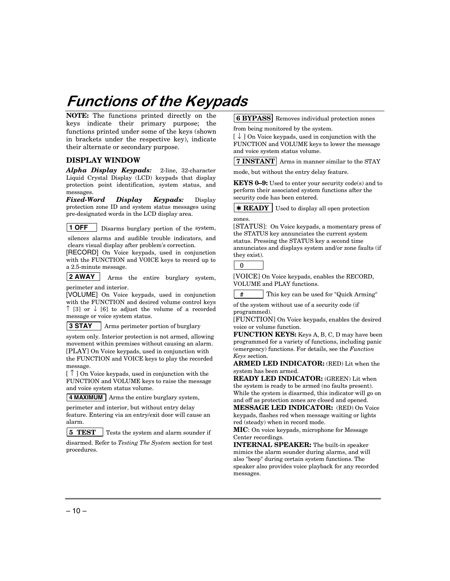## **Functions of the Keypads**

**NOTE:** The functions printed directly on the keys indicate their primary purpose; the functions printed under some of the keys (shown in brackets under the respective key), indicate their alternate or secondary purpose.

#### **DISPLAY WINDOW**

*Alpha Display Keypads:* 2-line, 32-character Liquid Crystal Display (LCD) keypads that display protection point identification, system status, and messages.

*Fixed-Word Display Keypads:* Display protection zone ID and system status messages using pre-designated words in the LCD display area.

**1 OFF Disarms burglary portion of the system,** 

 silences alarms and audible trouble indicators, and clears visual display after problem's correction.

[RECORD] On Voice keypads, used in conjunction with the FUNCTION and VOICE keys to record up to a 2.5-minute message.

**2 AWAY** Arms the entire burglary system, perimeter and interior.

[VOLUME] On Voice keypads, used in conjunction with the FUNCTION and desired volume control keys ↑ [3] or ↓ [6] to adjust the volume of a recorded message or voice system status.

**3 STAY** Arms perimeter portion of burglary

system only. Interior protection is not armed, allowing movement within premises without causing an alarm. [PLAY] On Voice keypads, used in conjunction with the FUNCTION and VOICE keys to play the recorded message.

 $\lceil \uparrow \rceil$  on Voice keypads, used in conjunction with the FUNCTION and VOLUME keys to raise the message and voice system status volume.

**4 MAXIMUM** Arms the entire burglary system,

perimeter and interior, but without entry delay

feature. Entering via an entry/exit door will cause an alarm.

**5 TEST** Tests the system and alarm sounder if

disarmed. Refer to *Testing The System* section for test procedures.

**6 BYPASS** Removes individual protection zones

from being monitored by the system.

[ ↓ ] On Voice keypads, used in conjunction with the FUNCTION and VOLUME keys to lower the message and voice system status volume.

**7 INSTANT** Arms in manner similar to the STAY

mode, but without the entry delay feature.

**KEYS 0–9:** Used to enter your security code(s) and to perform their associated system functions after the security code has been entered.

**\* READY** Used to display all open protection zones.

[STATUS]: On Voice keypads, a momentary press of the STATUS key annunciates the current system status. Pressing the STATUS key a second time annunciates and displays system and/or zone faults (if they exist).

0

[VOICE] On Voice keypads, enables the RECORD, VOLUME and PLAY functions.

#This key can be used for "Quick Arming"

of the system without use of a security code (if programmed).

[FUNCTION] On Voice keypads, enables the desired voice or volume function.

**FUNCTION KEYS:** Keys A, B, C, D may have been programmed for a variety of functions, including panic (emergency) functions. For details, see the *Function Keys* section.

**ARMED LED INDICATOR:** (RED) Lit when the system has been armed.

**READY LED INDICATOR:** (GREEN) Lit when the system is ready to be armed (no faults present). While the system is disarmed, this indicator will go on and off as protection zones are closed and opened.

**MESSAGE LED INDICATOR:** (RED) On Voice keypads, flashes red when message waiting or lights red (steady) when in record mode.

**MIC**: On voice keypads, microphone for Message Center recordings.

**INTERNAL SPEAKER:** The built-in speaker mimics the alarm sounder during alarms, and will also "beep" during certain system functions. The speaker also provides voice playback for any recorded messages.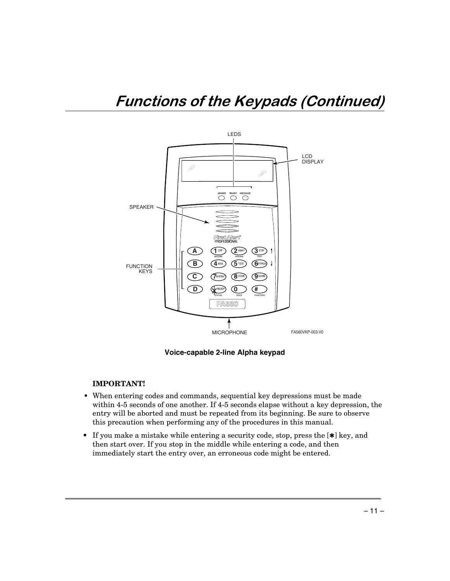

**Voice-capable 2-line Alpha keypad**

#### **IMPORTANT!**

- When entering codes and commands, sequential key depressions must be made within 4-5 seconds of one another. If 4-5 seconds elapse without a key depression, the entry will be aborted and must be repeated from its beginning. Be sure to observe this precaution when performing any of the procedures in this manual.
- If you make a mistake while entering a security code, stop, press the [✱] key, and then start over. If you stop in the middle while entering a code, and then immediately start the entry over, an erroneous code might be entered.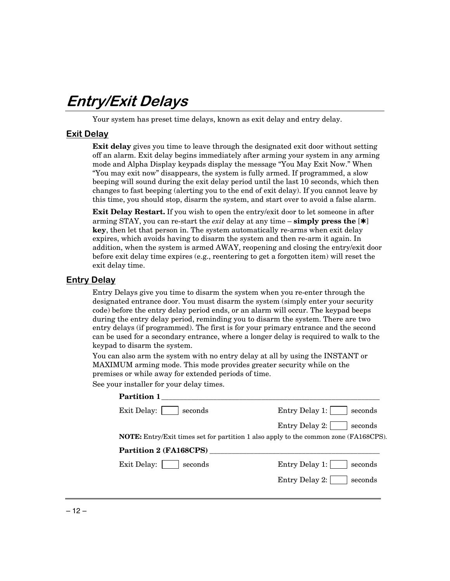## Entry/Exit Delays

Your system has preset time delays, known as exit delay and entry delay.

### <u>Exit Delay</u>

**Exit delay** gives you time to leave through the designated exit door without setting off an alarm. Exit delay begins immediately after arming your system in any arming mode and Alpha Display keypads display the message "You May Exit Now." When "You may exit now" disappears, the system is fully armed. If programmed, a slow beeping will sound during the exit delay period until the last 10 seconds, which then changes to fast beeping (alerting you to the end of exit delay). If you cannot leave by this time, you should stop, disarm the system, and start over to avoid a false alarm.

**Exit Delay Restart.** If you wish to open the entry/exit door to let someone in after arming STAY, you can re-start the *exit* delay at any time – **simply press the** [✱] **key**, then let that person in. The system automatically re-arms when exit delay expires, which avoids having to disarm the system and then re-arm it again. In addition, when the system is armed AWAY, reopening and closing the entry/exit door before exit delay time expires (e.g., reentering to get a forgotten item) will reset the exit delay time.

### **Entry Delay**

Entry Delays give you time to disarm the system when you re-enter through the designated entrance door. You must disarm the system (simply enter your security code) before the entry delay period ends, or an alarm will occur. The keypad beeps during the entry delay period, reminding you to disarm the system. There are two entry delays (if programmed). The first is for your primary entrance and the second can be used for a secondary entrance, where a longer delay is required to walk to the keypad to disarm the system.

You can also arm the system with no entry delay at all by using the INSTANT or MAXIMUM arming mode. This mode provides greater security while on the premises or while away for extended periods of time.

See your installer for your delay times.

| <b>Partition 1</b>     |                                                                                             |
|------------------------|---------------------------------------------------------------------------------------------|
| Exit Delay:<br>seconds | Entry Delay 1:<br>seconds                                                                   |
|                        | Entry Delay 2:<br>seconds                                                                   |
|                        | <b>NOTE:</b> Entry/Exit times set for partition 1 also apply to the common zone (FA168CPS). |
| Partition 2 (FA168CPS) |                                                                                             |
| Exit Delay:<br>seconds | Entry Delay 1:<br>seconds                                                                   |
|                        | Entry Delay 2:<br>seconds                                                                   |
|                        |                                                                                             |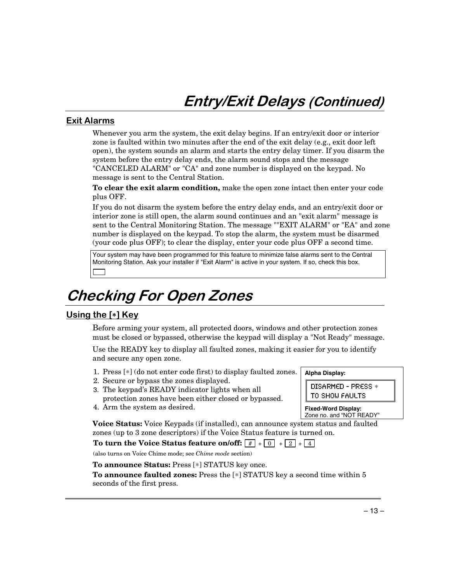## Entry/Exit Delays (Continued)

### <u>Exit Alarms</u>

Whenever you arm the system, the exit delay begins. If an entry/exit door or interior zone is faulted within two minutes after the end of the exit delay (e.g., exit door left open), the system sounds an alarm and starts the entry delay timer. If you disarm the system before the entry delay ends, the alarm sound stops and the message "CANCELED ALARM" or "CA" and zone number is displayed on the keypad. No message is sent to the Central Station.

**To clear the exit alarm condition,** make the open zone intact then enter your code plus OFF.

If you do not disarm the system before the entry delay ends, and an entry/exit door or interior zone is still open, the alarm sound continues and an "exit alarm" message is sent to the Central Monitoring Station. The message ""EXIT ALARM" or "EA" and zone number is displayed on the keypad. To stop the alarm, the system must be disarmed (your code plus OFF); to clear the display, enter your code plus OFF a second time.

Your system may have been programmed for this feature to minimize false alarms sent to the Central Monitoring Station. Ask your installer if "Exit Alarm" is active in your system. If so, check this box.

## **Checking For Open Zones**

### <u>Using the [\*] Key</u>

Before arming your system, all protected doors, windows and other protection zones must be closed or bypassed, otherwise the keypad will display a "Not Ready" message.

Use the READY key to display all faulted zones, making it easier for you to identify and secure any open zone.

- 1. Press [∗] (do not enter code first) to display faulted zones.
- 2. Secure or bypass the zones displayed.
- 3. The keypad's READY indicator lights when all protection zones have been either closed or bypassed.
- 4. Arm the system as desired.

**Alpha Display:**  DISARMED - PRESS \* TO SHOW FAULTS

**Fixed-Word Display:**  Zone no. and "NOT READY"

**Voice Status:** Voice Keypads (if installed), can announce system status and faulted zones (up to 3 zone descriptors) if the Voice Status feature is turned on.

To turn the Voice Status feature on/off:  $\boxed{f}$  +  $\boxed{0}$  +  $\boxed{2}$  +  $\boxed{4}$ 

(also turns on Voice Chime mode; see *Chime mode* section)

**To announce Status:** Press [∗] STATUS key once.

**To announce faulted zones:** Press the [∗] STATUS key a second time within 5 seconds of the first press.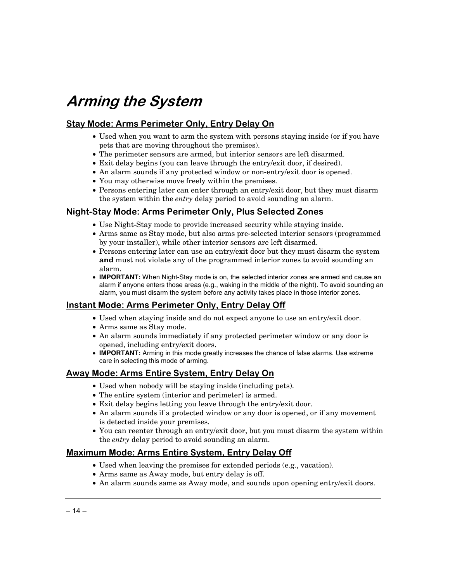## Arming the System

## <u>Stay Mode: Arms Perimeter Only, Entry Delay On</u>

- Used when you want to arm the system with persons staying inside (or if you have pets that are moving throughout the premises).
- The perimeter sensors are armed, but interior sensors are left disarmed.
- Exit delay begins (you can leave through the entry/exit door, if desired).
- An alarm sounds if any protected window or non-entry/exit door is opened.
- You may otherwise move freely within the premises.
- Persons entering later can enter through an entry/exit door, but they must disarm the system within the *entry* delay period to avoid sounding an alarm.

### <u>Night-Stay Mode: Arms Perimeter Only, Plus Selected Zones</u>

- Use Night-Stay mode to provide increased security while staying inside.
- Arms same as Stay mode, but also arms pre-selected interior sensors (programmed by your installer), while other interior sensors are left disarmed.
- Persons entering later can use an entry/exit door but they must disarm the system **and** must not violate any of the programmed interior zones to avoid sounding an alarm.
- **IMPORTANT:** When Night-Stay mode is on, the selected interior zones are armed and cause an alarm if anyone enters those areas (e.g., waking in the middle of the night). To avoid sounding an alarm, you must disarm the system before any activity takes place in those interior zones.

### <u>Instant Mode: Arms Perimeter Only, Entry Delay Off</u>

- Used when staying inside and do not expect anyone to use an entry/exit door.
- Arms same as Stay mode.
- An alarm sounds immediately if any protected perimeter window or any door is opened, including entry/exit doors.
- **IMPORTANT:** Arming in this mode greatly increases the chance of false alarms. Use extreme care in selecting this mode of arming.

### <u>Away Mode: Arms Entire System, Entry Delay On</u>

- Used when nobody will be staying inside (including pets).
- The entire system (interior and perimeter) is armed.
- Exit delay begins letting you leave through the entry/exit door.
- An alarm sounds if a protected window or any door is opened, or if any movement is detected inside your premises.
- You can reenter through an entry/exit door, but you must disarm the system within the *entry* delay period to avoid sounding an alarm.

### <u> Maximum Mode: Arms Entire System, Entry Delay Off</u>

- Used when leaving the premises for extended periods (e.g., vacation).
- Arms same as Away mode, but entry delay is off.
- An alarm sounds same as Away mode, and sounds upon opening entry/exit doors.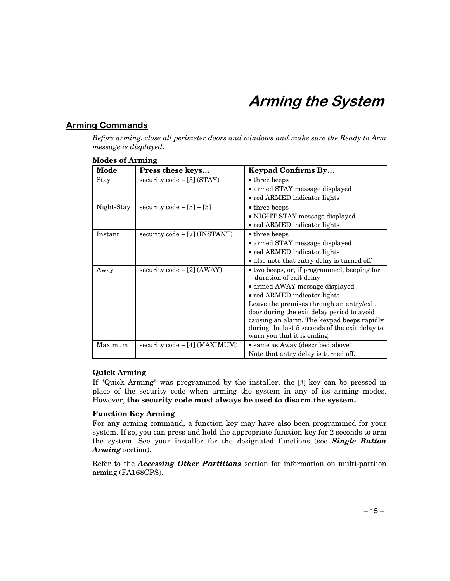## <u>Arming Commands</u>

*Before arming, close all perimeter doors and windows and make sure the Ready to Arm message is displayed.* 

| Mode       | Press these keys                | <b>Keypad Confirms By</b>                      |  |
|------------|---------------------------------|------------------------------------------------|--|
| Stay       | security code $+[3]$ (STAY)     | • three beeps                                  |  |
|            |                                 | • armed STAY message displayed                 |  |
|            |                                 | • red ARMED indicator lights                   |  |
| Night-Stay | security code $+[3]+[3]$        | • three beeps                                  |  |
|            |                                 | • NIGHT-STAY message displayed                 |  |
|            |                                 | • red ARMED indicator lights                   |  |
| Instant    | $security code + [7] (INSTANT)$ | $\bullet$ three beeps                          |  |
|            |                                 | • armed STAY message displayed                 |  |
|            |                                 | • red ARMED indicator lights                   |  |
|            |                                 | • also note that entry delay is turned off.    |  |
| Away       | security code + $[2]$ (AWAY)    | • two beeps, or, if programmed, beeping for    |  |
|            |                                 | duration of exit delay                         |  |
|            |                                 | • armed AWAY message displayed                 |  |
|            |                                 | • red ARMED indicator lights                   |  |
|            |                                 | Leave the premises through an entry/exit       |  |
|            |                                 | door during the exit delay period to avoid     |  |
|            |                                 | causing an alarm. The keypad beeps rapidly     |  |
|            |                                 | during the last 5 seconds of the exit delay to |  |
| Maximum    |                                 | warn you that it is ending.                    |  |
|            | security code + [4] (MAXIMUM)   | • same as Away (described above)               |  |
|            |                                 | Note that entry delay is turned off.           |  |

### **Modes of Arming**

### **Quick Arming**

If "Quick Arming" was programmed by the installer, the [#] key can be pressed in place of the security code when arming the system in any of its arming modes. However, **the security code must always be used to disarm the system.**

### **Function Key Arming**

For any arming command, a function key may have also been programmed for your system. If so, you can press and hold the appropriate function key for 2 seconds to arm the system. See your installer for the designated functions (see *Single Button Arming* section).

Refer to the *Accessing Other Partitions* section for information on multi-partiion arming (FA168CPS).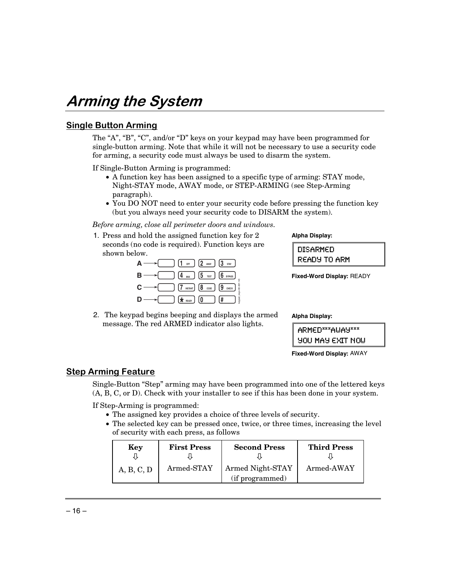## Arming the System

### <u>Single Button Arming</u>

The "A", "B", "C", and/or "D" keys on your keypad may have been programmed for single-button arming. Note that while it will not be necessary to use a security code for arming, a security code must always be used to disarm the system.

If Single-Button Arming is programmed:

- A function key has been assigned to a specific type of arming: STAY mode, Night-STAY mode, AWAY mode, or STEP-ARMING (see Step-Arming paragraph).
- You DO NOT need to enter your security code before pressing the function key (but you always need your security code to DISARM the system).

*Before arming, close all perimeter doors and windows.* 

1. Press and hold the assigned function key for 2 seconds (no code is required). Function keys are shown below.

| $\boxed{1}$ off $\boxed{2}$ away $\boxed{3}$ stay $\boxed{3}$ |                      |
|---------------------------------------------------------------|----------------------|
| $\left[4\right]$ MAX $\left[5\right]$ (6 BYPASS)<br>в         |                      |
| $\boxed{7}$ instant) $\boxed{8}$ code $\boxed{9}$ check<br>С· | eypad_keys-00-001-V0 |
| $\left(\star\right)$ (0 $\left($                              | 1#                   |
|                                                               |                      |

2. The keypad begins beeping and displays the armed message. The red ARMED indicator also lights.

**Alpha Display:** 

| DISARMED     |  |
|--------------|--|
| READY TO ARM |  |

**Fixed-Word Display:** READY

**Alpha Display:** 

| I ARMED***AUAY***       |
|-------------------------|
| <b>YOU MAY EXIT NOW</b> |

**Fixed-Word Display:** AWAY

### <u>Step Arming Feature</u>

Single-Button "Step" arming may have been programmed into one of the lettered keys (A, B, C, or D). Check with your installer to see if this has been done in your system.

If Step-Arming is programmed:

- The assigned key provides a choice of three levels of security.
- The selected key can be pressed once, twice, or three times, increasing the level of security with each press, as follows

| Key        | <b>First Press</b> | <b>Second Press</b>                 | <b>Third Press</b> |
|------------|--------------------|-------------------------------------|--------------------|
| A, B, C, D | Armed-STAY         | Armed Night-STAY<br>(if programmed) | Armed-AWAY         |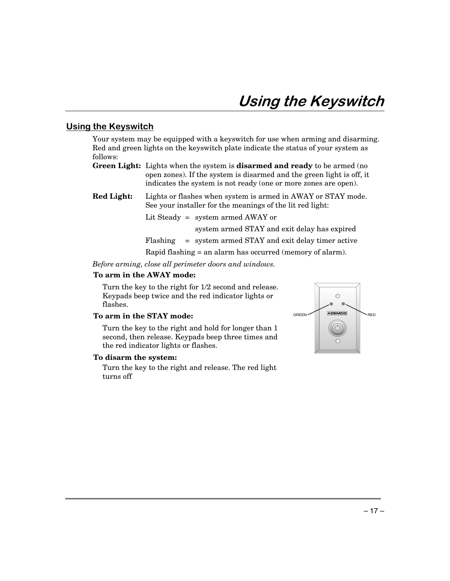### <u>Using the Keyswitch</u>

Your system may be equipped with a keyswitch for use when arming and disarming. Red and green lights on the keyswitch plate indicate the status of your system as follows:

- **Green Light:** Lights when the system is **disarmed and ready** to be armed (no open zones). If the system is disarmed and the green light is off, it indicates the system is not ready (one or more zones are open).
- **Red Light:** Lights or flashes when system is armed in AWAY or STAY mode. See your installer for the meanings of the lit red light:

Lit Steady = system armed AWAY or

system armed STAY and exit delay has expired

Flashing = system armed STAY and exit delay timer active

Rapid flashing = an alarm has occurred (memory of alarm).

*Before arming, close all perimeter doors and windows.* 

#### **To arm in the AWAY mode:**

 Turn the key to the right for 1/2 second and release. Keypads beep twice and the red indicator lights or flashes.

#### **To arm in the STAY mode:**

 Turn the key to the right and hold for longer than 1 second, then release. Keypads beep three times and the red indicator lights or flashes.

#### **To disarm the system:**

 Turn the key to the right and release. The red light turns off

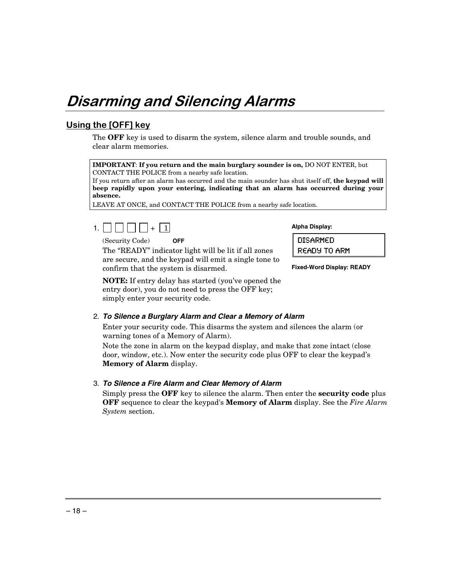## Disarming and Silencing Alarms

## Using the [OFF] key

The **OFF** key is used to disarm the system, silence alarm and trouble sounds, and clear alarm memories.

**IMPORTANT**: **If you return and the main burglary sounder is on,** DO NOT ENTER, but CONTACT THE POLICE from a nearby safe location.

If you return after an alarm has occurred and the main sounder has shut itself off, **the keypad will beep rapidly upon your entering, indicating that an alarm has occurred during your absence.** 

LEAVE AT ONCE, and CONTACT THE POLICE from a nearby safe location.



(Security Code) **OFF**

 The "READY" indicator light will be lit if all zones are secure, and the keypad will emit a single tone to confirm that the system is disarmed.

**NOTE:** If entry delay has started (you've opened the entry door), you do not need to press the OFF key; simply enter your security code.

#### 2. **To Silence a Burglary Alarm and Clear a Memory of Alarm**

 Enter your security code. This disarms the system and silences the alarm (or warning tones of a Memory of Alarm).

 Note the zone in alarm on the keypad display, and make that zone intact (close door, window, etc.). Now enter the security code plus OFF to clear the keypad's **Memory of Alarm** display.

#### 3. **To Silence a Fire Alarm and Clear Memory of Alarm**

 Simply press the **OFF** key to silence the alarm. Then enter the **security code** plus **OFF** sequence to clear the keypad's **Memory of Alarm** display. See the *Fire Alarm System* section.

**Alpha Display:** 

DISARMED READY TO ARM

**Fixed-Word Display: READY**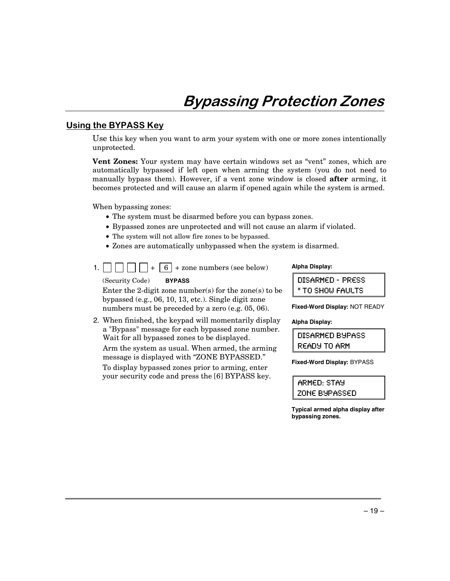### <u>Using the BYPASS Key</u>

Use this key when you want to arm your system with one or more zones intentionally unprotected.

**Vent Zones:** Your system may have certain windows set as "vent" zones, which are automatically bypassed if left open when arming the system (you do not need to manually bypass them). However, if a vent zone window is closed **after** arming, it becomes protected and will cause an alarm if opened again while the system is armed.

When bypassing zones:

- The system must be disarmed before you can bypass zones.
- Bypassed zones are unprotected and will not cause an alarm if violated.
- The system will not allow fire zones to be bypassed.
- Zones are automatically unbypassed when the system is disarmed.
- 1.  $|| \cdot || \cdot || + | 6 | +$  zone numbers (see below)

(Security Code) **BYPASS**

 Enter the 2-digit zone number(s) for the zone(s) to be bypassed (e.g., 06, 10, 13, etc.). Single digit zone numbers must be preceded by a zero (e.g. 05, 06).

2. When finished, the keypad will momentarily display a "Bypass" message for each bypassed zone number. Wait for all bypassed zones to be displayed.

 Arm the system as usual. When armed, the arming message is displayed with "ZONE BYPASSED."

To display bypassed zones prior to arming, enter your security code and press the [6] BYPASS key.

#### **Alpha Display:**

| <b>DISARMED - PRESS</b> |  |
|-------------------------|--|
| * TO SHOW FAULTS        |  |

**Fixed-Word Display:** NOT READY

#### **Alpha Display:**

DISARMED BYPASS READY TO ARM

**Fixed-Word Display:** BYPASS

ARMED: STAY ZONE BYPASSED

**Typical armed alpha display after bypassing zones.**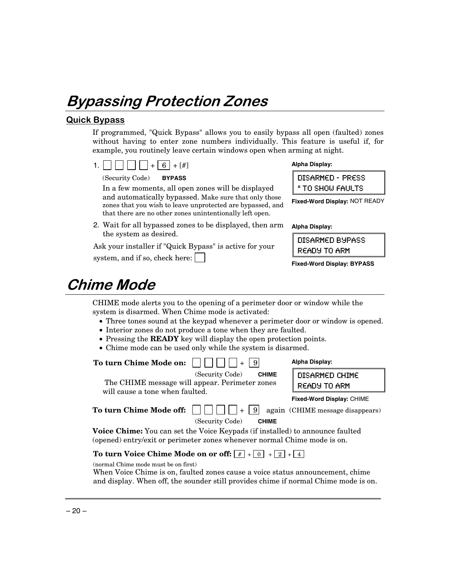## Bypassing Protection Zones

### <u>Quick Bypass</u>

If programmed, "Quick Bypass" allows you to easily bypass all open (faulted) zones without having to enter zone numbers individually. This feature is useful if, for example, you routinely leave certain windows open when arming at night.

1.  $\Box$   $\Box$   $\Box$  + 6 + [#]

(Security Code) **BYPASS**

 In a few moments, all open zones will be displayed and automatically bypassed. Make sure that only those zones that you wish to leave unprotected are bypassed, and that there are no other zones unintentionally left open.

2. Wait for all bypassed zones to be displayed, then arm the system as desired.

Ask your installer if "Quick Bypass" is active for your

system, and if so, check here:

| Alpha Display: |
|----------------|
|                |

| DISARMED - PRESS |  |
|------------------|--|
| * TO SHOW FAULTS |  |

**Fixed-Word Display:** NOT READY

**Alpha Display:** 

DISARMED BYPASS READY TO ARM

**Fixed-Word Display: BYPASS**

## **Chime Mode**

CHIME mode alerts you to the opening of a perimeter door or window while the system is disarmed. When Chime mode is activated:

- Three tones sound at the keypad whenever a perimeter door or window is opened.
- Interior zones do not produce a tone when they are faulted.
- Pressing the **READY** key will display the open protection points.
- Chime mode can be used only while the system is disarmed.

| To turn Chime Mode on:                                                                                                                                           | Alpha Display:                                                       |
|------------------------------------------------------------------------------------------------------------------------------------------------------------------|----------------------------------------------------------------------|
| (Security Code)<br><b>CHIME</b><br>The CHIME message will appear. Perimeter zones                                                                                | DISARMED CHIME<br>READY TO ARM                                       |
| will cause a tone when faulted.<br>-91<br>To turn Chime Mode off:                                                                                                | <b>Fixed-Word Display: CHIME</b><br>again (CHIME message disappears) |
| (Security Code)<br><b>CHIME</b>                                                                                                                                  |                                                                      |
| <b>Voice Chime:</b> You can set the Voice Keypads (if installed) to announce faulted<br>(opened) entry/exit or perimeter zones whenever normal Chime mode is on. |                                                                      |
| To turn Voice Chime Mode on or off: $ # + 0 + 2 + 4 $<br>(normal Chime mode must be on first)                                                                    |                                                                      |

(normal Chime mode must be on first)

When Voice Chime is on, faulted zones cause a voice status announcement, chime and display. When off, the sounder still provides chime if normal Chime mode is on.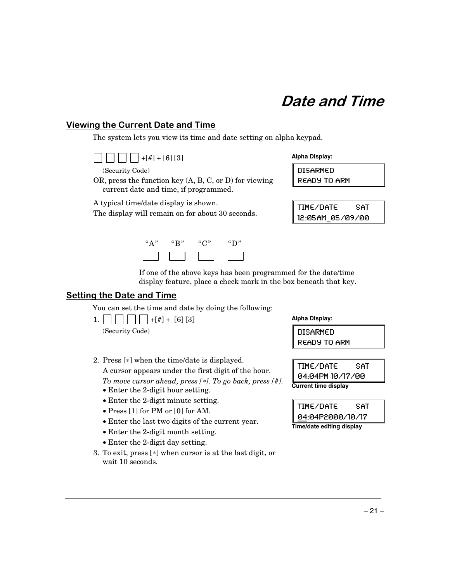### <u>Viewing the Current Date and Time</u>

The system lets you view its time and date setting on alpha keypad.



(Security Code)

OR, press the function key (A, B, C, or D) for viewing current date and time, if programmed.

A typical time/date display is shown.

The display will remain on for about 30 seconds.



**Alpha Display:** 

DISARMED READY TO ARM

| TIME/DATE        | SAT |
|------------------|-----|
| 12:05AM 05/09/00 |     |

If one of the above keys has been programmed for the date/time display feature, place a check mark in the box beneath that key.

### <u>Setting the Date and Time</u>

You can set the time and date by doing the following:

1.  $||| || || + [#] + [6] [3]$ (Security Code)

**Alpha Display:** 

DISARMED READY TO ARM

TIME/DATE SAT 04:04PM 10/17/00 **Current time display** 

| TIME/DATE                 | SAT |
|---------------------------|-----|
| 04:04P2000/10/17          |     |
| Time/date editing display |     |

2. Press [∗] when the time/date is displayed. A cursor appears under the first digit of the hour.

 *To move cursor ahead, press [*∗*]. To go back, press [#].* 

- Enter the 2-digit hour setting.
- Enter the 2-digit minute setting.
- Press [1] for PM or [0] for AM.
- Enter the last two digits of the current year.
- Enter the 2-digit month setting.
- Enter the 2-digit day setting.
- 3. To exit, press [∗] when cursor is at the last digit, or wait 10 seconds.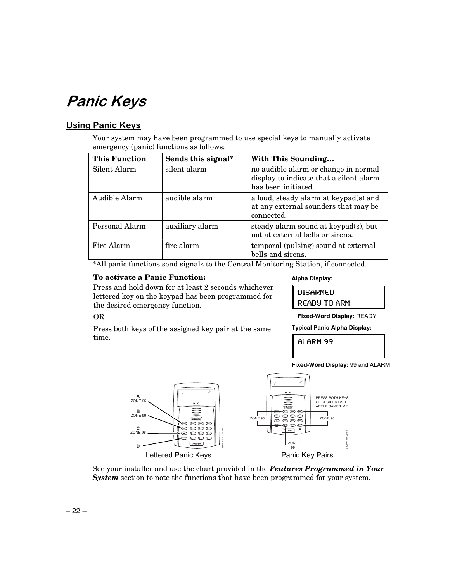## Panic Keys

## <u>Using Panic Keys</u>

Your system may have been programmed to use special keys to manually activate emergency (panic) functions as follows:

| <b>This Function</b> | Sends this signal* | With This Sounding                                                                                     |
|----------------------|--------------------|--------------------------------------------------------------------------------------------------------|
| Silent Alarm         | silent alarm       | no audible alarm or change in normal<br>display to indicate that a silent alarm<br>has been initiated. |
| Audible Alarm        | audible alarm      | a loud, steady alarm at keypad(s) and<br>at any external sounders that may be<br>connected.            |
| Personal Alarm       | auxiliary alarm    | steady alarm sound at keypad(s), but<br>not at external bells or sirens.                               |
| Fire Alarm           | fire alarm         | temporal (pulsing) sound at external<br>bells and sirens.                                              |

\*All panic functions send signals to the Central Monitoring Station, if connected.

### **To activate a Panic Function:**

Press and hold down for at least 2 seconds whichever lettered key on the keypad has been programmed for the desired emergency function.

#### **Alpha Display:**

| <b>DISARMED</b> |  |
|-----------------|--|
| READY TO ARM    |  |

**Fixed-Word Display:** READY

**Typical Panic Alpha Display:** 

**Fixed-Word Display:** 99 and ALARM

**ALARM 99** 



See your installer and use the chart provided in the *Features Programmed in Your System* section to note the functions that have been programmed for your system.

## OR

Press both keys of the assigned key pair at the same time.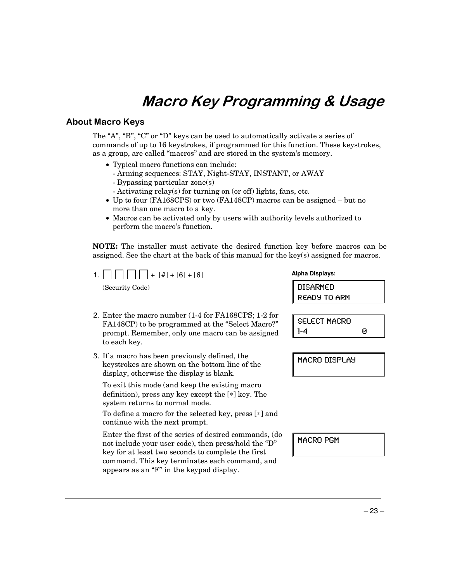## Macro Key Programming & Usage

### <u> About Macro Keys</u>

The "A", "B", "C" or "D" keys can be used to automatically activate a series of commands of up to 16 keystrokes, if programmed for this function. These keystrokes, as a group, are called "macros" and are stored in the system's memory.

- Typical macro functions can include:
	- Arming sequences: STAY, Night-STAY, INSTANT, or AWAY
	- Bypassing particular zone(s)
	- Activating relay(s) for turning on (or off) lights, fans, etc.
- Up to four (FA168CPS) or two (FA148CP) macros can be assigned but no more than one macro to a key.
- Macros can be activated only by users with authority levels authorized to perform the macro's function.

**NOTE:** The installer must activate the desired function key before macros can be assigned. See the chart at the back of this manual for the key(s) assigned for macros.

1.  $\Box$   $\Box$   $\Box$  + [#] + [6] + [6]

(Security Code)

- 2. Enter the macro number (1-4 for FA168CPS; 1-2 for FA148CP) to be programmed at the "Select Macro?" prompt. Remember, only one macro can be assigned to each key.
- 3. If a macro has been previously defined, the keystrokes are shown on the bottom line of the display, otherwise the display is blank.

 To exit this mode (and keep the existing macro definition), press any key except the [∗] key. The system returns to normal mode.

 To define a macro for the selected key, press [∗] and continue with the next prompt.

Enter the first of the series of desired commands, (do not include your user code), then press/hold the "D" key for at least two seconds to complete the first command. This key terminates each command, and appears as an "F" in the keypad display.

**Alpha Displays:**  DISARMED READY TO ARM SELECT MACRO  $1-4$  0

MACRO DISPLAY

MACRO PGM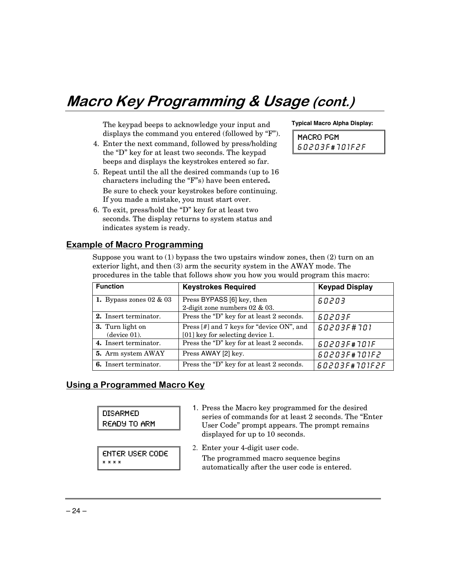## Macro Key Programming & Usage (cont.)

 The keypad beeps to acknowledge your input and displays the command you entered (followed by "F").

- 4. Enter the next command, followed by press/holding the "D" key for at least two seconds. The keypad beeps and displays the keystrokes entered so far.
- 5. Repeat until the all the desired commands (up to 16 characters including the "F"s) have been entered**.**  Be sure to check your keystrokes before continuing. If you made a mistake, you must start over.
- 6. To exit, press/hold the "D" key for at least two seconds. The display returns to system status and indicates system is ready.

**Example of Macro Programming** 

Suppose you want to  $(1)$  bypass the two upstairs window zones, then  $(2)$  turn on an exterior light, and then (3) arm the security system in the AWAY mode. The procedures in the table that follows show you how you would program this macro:

| <b>Function</b>                  | <b>Keystrokes Required</b>                                                    | <b>Keypad Display</b> |
|----------------------------------|-------------------------------------------------------------------------------|-----------------------|
| 1. Bypass zones $02 \& 03$       | Press BYPASS [6] key, then<br>60203<br>2-digit zone numbers $02 \& 03$ .      |                       |
| 2. Insert terminator.            | Press the "D" key for at least 2 seconds.                                     | 60203F                |
| 3. Turn light on<br>(device 01). | Press [#] and 7 keys for "device ON", and<br>[01] key for selecting device 1. | 60203F#701            |
| 4. Insert terminator.            | Press the "D" key for at least 2 seconds.                                     | 60203F#101F           |
| 5. Arm system AWAY               | Press AWAY [2] key.                                                           | 60203F#101F2          |
| <b>6.</b> Insert terminator.     | Press the "D" key for at least 2 seconds.                                     | 60203F#701F2F         |

### <u>Using a Programmed Macro Key</u>

| <b>DISARMED</b><br><b>READY TO ARM</b>    | 1. Press the Macro key programmed for the desired<br>series of commands for at least 2 seconds. The "Enter"<br>User Code" prompt appears. The prompt remains<br>displayed for up to 10 seconds. |
|-------------------------------------------|-------------------------------------------------------------------------------------------------------------------------------------------------------------------------------------------------|
| <b>ENTER USER CODE</b><br>$X$ $X$ $X$ $X$ | 2. Enter your 4-digit user code.<br>The programmed macro sequence begins<br>automatically after the user code is entered.                                                                       |

#### **Typical Macro Alpha Display:**

MACRO PGM 60203F#101F2F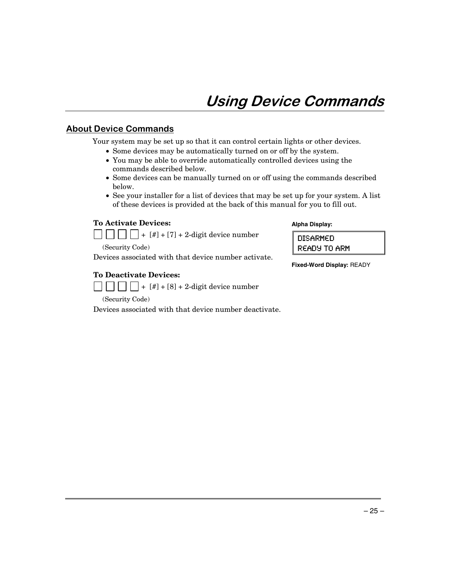### <u>**About Device Commands**</u>

Your system may be set up so that it can control certain lights or other devices.

- Some devices may be automatically turned on or off by the system.
- You may be able to override automatically controlled devices using the commands described below.
- Some devices can be manually turned on or off using the commands described below.
- See your installer for a list of devices that may be set up for your system. A list of these devices is provided at the back of this manual for you to fill out.

#### **To Activate Devices:**



(Security Code)

Devices associated with that device number activate.

#### **To Deactivate Devices:**

 $\Box$  $\Box$  $\Box$  + [#] + [8] + 2-digit device number

(Security Code)

Devices associated with that device number deactivate.

#### **Alpha Display:**

| DISARMED     |  |
|--------------|--|
| READY TO ARM |  |

**Fixed-Word Display:** READY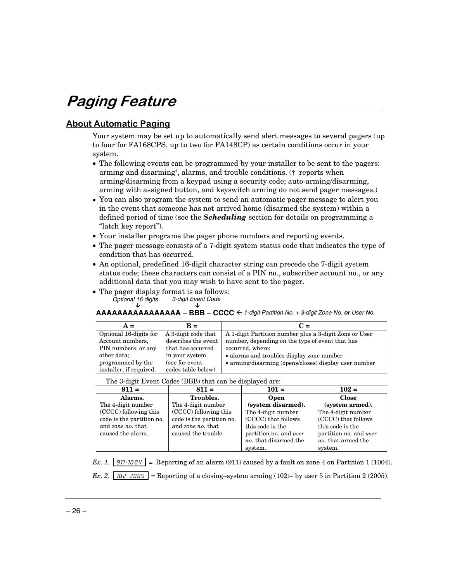## Paging Feature

### <u> About Automatic Paging</u>

Your system may be set up to automatically send alert messages to several pagers (up to four for FA168CPS, up to two for FA148CP) as certain conditions occur in your system.

- The following events can be programmed by your installer to be sent to the pagers: arming and disarming†, alarms, and trouble conditions. († reports when arming/disarming from a keypad using a security code; auto-arming/disarming, arming with assigned button, and keyswitch arming do not send pager messages.)
- You can also program the system to send an automatic pager message to alert you in the event that someone has not arrived home (disarmed the system) within a defined period of time (see the *Scheduling* section for details on programming a "latch key report").
- Your installer programs the pager phone numbers and reporting events.
- The pager message consists of a 7-digit system status code that indicates the type of condition that has occurred.
- An optional, predefined 16-digit character string can precede the 7-digit system status code; these characters can consist of a PIN no., subscriber account no., or any additional data that you may wish to have sent to the pager.
- The pager display format is as follows:<br> *Optional 16 digits*  $\frac{3 \text{-} \text{digit}$  Event Code Optional 16 digits  $\downarrow$   $\downarrow$

#### **AAAAAAAAAAAAAAAA** – **BBB** – **CCCC** <sup>Å</sup> 1-digit Partition No. + 3-digit Zone No. **or** User No.

| $A =$                   | $\mathbf{R} =$      | $C =$                                                  |
|-------------------------|---------------------|--------------------------------------------------------|
| Optional 16-digits for  | A 3-digit code that | A 1-digit Partition number plus a 3-digit Zone or User |
| Account numbers,        | describes the event | number, depending on the type of event that has        |
| PIN numbers, or any     | that has occurred   | occurred, where:                                       |
| other data;             | in your system      | • alarms and troubles display zone number              |
| programmed by the       | (see for event      | • arming/disarming (opens/closes) display user number  |
| installer, if required. | codes table below)  |                                                        |

#### The 3-digit Event Codes (BBB) that can be displayed are:

| $911 =$                   | $811 =$                   | $101 =$                       | $102 =$                       |
|---------------------------|---------------------------|-------------------------------|-------------------------------|
| Alarms.                   | <b>Troubles.</b>          | <b>Open</b>                   | <b>Close</b>                  |
| The 4-digit number        | The 4-digit number        | (system disarmed).            | (system armed).               |
| (CCCC) following this     | (CCCC) following this     | The 4-digit number            | The 4-digit number            |
| code is the partition no. | code is the partition no. | (CCCC) that follows           | (CCCC) that follows           |
| and zone no. that         | and zone no. that         | this code is the              | this code is the              |
| caused the alarm.         | caused the trouble.       | partition no. and <i>user</i> | partition no. and <i>user</i> |
|                           |                           | no. that disarmed the         | no, that armed the            |
|                           |                           | system.                       | system.                       |

*Ex. 1.*  $\boxed{311 \cdot 1004}$  = Reporting of an alarm (911) caused by a fault on zone 4 on Partition 1 (1004).

*Ex. 2.*  $\boxed{102 \cdot 2005}$  = Reporting of a closing–system arming (102)– by user 5 in Partition 2 (2005).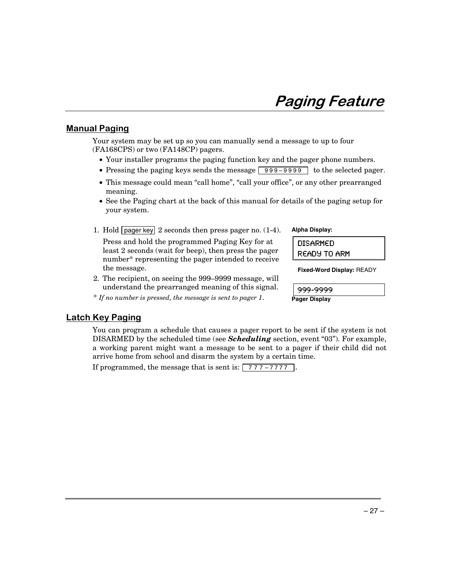## Paging Feature

### <u>Manual Paging</u>

Your system may be set up so you can manually send a message to up to four (FA168CPS) or two (FA148CP) pagers.

- Your installer programs the paging function key and the pager phone numbers.
- Pressing the paging keys sends the message  $\boxed{999 9999}$  to the selected pager.
- This message could mean "call home", "call your office", or any other prearranged meaning.
- See the Paging chart at the back of this manual for details of the paging setup for your system.
- 1. Hold pager key 2 seconds then press pager no. (1-4). Press and hold the programmed Paging Key for at least 2 seconds (wait for beep), then press the pager number\* representing the pager intended to receive the message.
- 2. The recipient, on seeing the 999–9999 message, will understand the prearranged meaning of this signal.

\* *If no number is pressed, the message is sent to pager 1*.

#### **Alpha Display:**

| DISARMED     |  |  |  |
|--------------|--|--|--|
| READY TO ARM |  |  |  |

**Fixed-Word Display:** READY

999-9999

**Pager Display**

#### <u>Latch Key Paging</u>

You can program a schedule that causes a pager report to be sent if the system is not DISARMED by the scheduled time (see *Scheduling* section, event "03"). For example, a working parent might want a message to be sent to a pager if their child did not arrive home from school and disarm the system by a certain time.

If programmed, the message that is sent is:  $\boxed{777 - 7777}$ .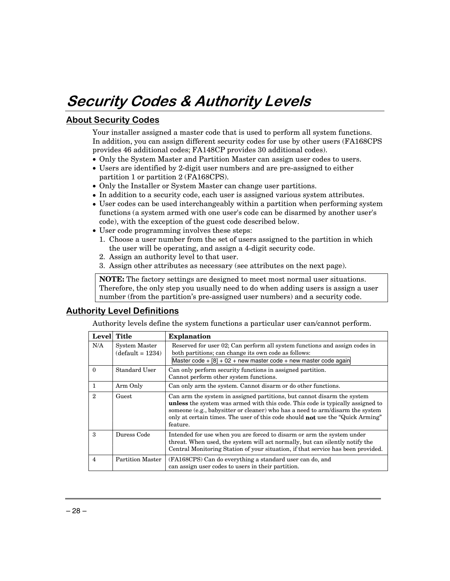## Security Codes & Authority Levels

## **<u>About Security Codes</u>**

Your installer assigned a master code that is used to perform all system functions. In addition, you can assign different security codes for use by other users (FA168CPS provides 46 additional codes; FA148CP provides 30 additional codes).

- Only the System Master and Partition Master can assign user codes to users.
- Users are identified by 2-digit user numbers and are pre-assigned to either partition 1 or partition 2 (FA168CPS).
- Only the Installer or System Master can change user partitions.
- In addition to a security code, each user is assigned various system attributes.
- User codes can be used interchangeably within a partition when performing system functions (a system armed with one user's code can be disarmed by another user's code), with the exception of the guest code described below.
- User code programming involves these steps:
	- 1. Choose a user number from the set of users assigned to the partition in which the user will be operating, and assign a 4-digit security code.
	- 2. Assign an authority level to that user.
	- 3. Assign other attributes as necessary (see attributes on the next page).

**NOTE:** The factory settings are designed to meet most normal user situations. Therefore, the only step you usually need to do when adding users is assign a user number (from the partition's pre-assigned user numbers) and a security code.

## <u>**Authority Level Definitions**</u>

Authority levels define the system functions a particular user can/cannot perform.

| Level                       | <b>Title</b>                        | <b>Explanation</b>                                                                                                                                                                                                                                                                                                                                     |
|-----------------------------|-------------------------------------|--------------------------------------------------------------------------------------------------------------------------------------------------------------------------------------------------------------------------------------------------------------------------------------------------------------------------------------------------------|
| N/A                         | System Master<br>$(default = 1234)$ | Reserved for user 02; Can perform all system functions and assign codes in<br>both partitions; can change its own code as follows:<br>Master code + $[8]$ + 02 + new master code + new master code again                                                                                                                                               |
| $\Omega$                    | Standard User                       | Can only perform security functions in assigned partition.<br>Cannot perform other system functions.                                                                                                                                                                                                                                                   |
|                             | Arm Only                            | Can only arm the system. Cannot disarm or do other functions.                                                                                                                                                                                                                                                                                          |
| $\mathcal{D}_{\mathcal{L}}$ | Guest                               | Can arm the system in assigned partitions, but cannot disarm the system<br><b>unless</b> the system was armed with this code. This code is typically assigned to<br>someone (e.g., babysitter or cleaner) who has a need to arm/disarm the system<br>only at certain times. The user of this code should <b>not</b> use the "Quick Arming"<br>feature. |
| $\mathbf{a}$                | Duress Code                         | Intended for use when you are forced to disarm or arm the system under<br>threat. When used, the system will act normally, but can silently notify the<br>Central Monitoring Station of your situation, if that service has been provided.                                                                                                             |
| 4                           | <b>Partition Master</b>             | (FA168CPS) Can do everything a standard user can do, and<br>can assign user codes to users in their partition.                                                                                                                                                                                                                                         |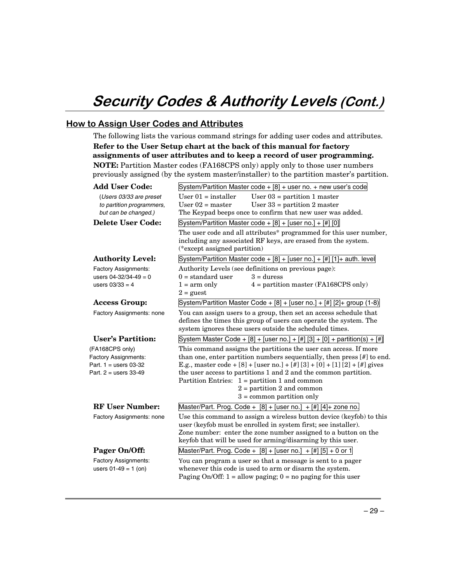## Security Codes & Authority Levels (Cont.)

### <u>How to Assign User Codes and Attributes</u>

The following lists the various command strings for adding user codes and attributes. **Refer to the User Setup chart at the back of this manual for factory assignments of user attributes and to keep a record of user programming. NOTE:** Partition Master codes (FA168CPS only) apply only to those user numbers previously assigned (by the system master/installer) to the partition master's partition.

| <b>Add User Code:</b>       | System/Partition Master code $+$ [8] $+$ user no. $+$ new user's code                                                                                                                             |  |  |  |  |
|-----------------------------|---------------------------------------------------------------------------------------------------------------------------------------------------------------------------------------------------|--|--|--|--|
| (Users 03/33 are preset     | User $01$ = installer<br>User $03$ = partition 1 master                                                                                                                                           |  |  |  |  |
| to partition programmers,   | User $02$ = master<br>User $33$ = partition 2 master                                                                                                                                              |  |  |  |  |
| but can be changed.)        | The Keypad beeps once to confirm that new user was added.                                                                                                                                         |  |  |  |  |
| Delete User Code:           | System/Partition Master code + $[8]$ + [user no.] + $[#]$ [0]                                                                                                                                     |  |  |  |  |
|                             | The user code and all attributes* programmed for this user number,<br>including any associated RF keys, are erased from the system.<br>(*except assigned partition)                               |  |  |  |  |
| <b>Authority Level:</b>     | System/Partition Master code + [8] + [user no.] + [#] [1] + auth. level                                                                                                                           |  |  |  |  |
| Factory Assignments:        | Authority Levels (see definitions on previous page):                                                                                                                                              |  |  |  |  |
| users $04 - 32/34 - 49 = 0$ | $3 = \text{duress}$<br>$0 =$ standard user                                                                                                                                                        |  |  |  |  |
| users $03/33 = 4$           | $1 = arm only$<br>$4 =$ partition master (FA168CPS only)<br>$2 =$ guest                                                                                                                           |  |  |  |  |
| <b>Access Group:</b>        | System/Partition Master Code + $[8]$ + [user no.] + $[#]$ [2]+ group (1-8)                                                                                                                        |  |  |  |  |
| Factory Assignments: none   | You can assign users to a group, then set an access schedule that<br>defines the times this group of users can operate the system. The<br>system ignores these users outside the scheduled times. |  |  |  |  |
| <b>User's Partition:</b>    | System Master Code + $[8]$ + [user no.] + $[#]$ $[3]$ + $[0]$ + partition(s) + $[#]$                                                                                                              |  |  |  |  |
| (FA168CPS only)             | This command assigns the partitions the user can access. If more                                                                                                                                  |  |  |  |  |
| <b>Factory Assignments:</b> | than one, enter partition numbers sequentially, then press [#] to end.                                                                                                                            |  |  |  |  |
| Part. $1 =$ users 03-32     | E.g., master code + [8] + [user no.] + [#] [3] + [0] + [1] [2] + [#] gives                                                                                                                        |  |  |  |  |
| Part. $2 =$ users 33-49     |                                                                                                                                                                                                   |  |  |  |  |
|                             | the user access to partitions 1 and 2 and the common partition.                                                                                                                                   |  |  |  |  |
|                             | Partition Entries: $1 =$ partition 1 and common                                                                                                                                                   |  |  |  |  |
|                             | $2 =$ partition 2 and common                                                                                                                                                                      |  |  |  |  |
|                             | $3 =$ common partition only                                                                                                                                                                       |  |  |  |  |
| <b>RF User Number:</b>      | Master/Part. Prog. Code + $[8]$ + [user no.] + $[#]$ [4] + zone no.                                                                                                                               |  |  |  |  |
| Factory Assignments: none   | Use this command to assign a wireless button device (keyfob) to this                                                                                                                              |  |  |  |  |
|                             | user (keyfob must be enrolled in system first; see installer).                                                                                                                                    |  |  |  |  |
|                             | Zone number: enter the zone number assigned to a button on the<br>keyfob that will be used for arming/disarming by this user.                                                                     |  |  |  |  |
| Pager On/Off:               | Master/Part. Prog. Code + $[8]$ + [user no.] + [#] [5] + 0 or 1                                                                                                                                   |  |  |  |  |
| Factory Assignments:        | You can program a user so that a message is sent to a pager                                                                                                                                       |  |  |  |  |
| users $01-49 = 1$ (on)      | whenever this code is used to arm or disarm the system.                                                                                                                                           |  |  |  |  |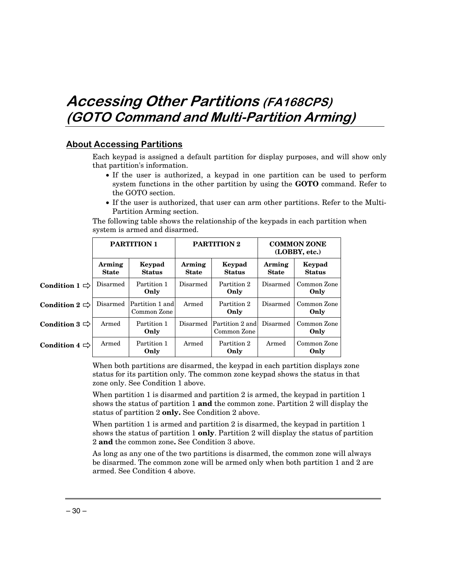## Accessing Other Partitions (FA168CPS) (GOTO Command and Multi-Partition Arming)

### <u> About Accessing Partitions</u>

Each keypad is assigned a default partition for display purposes, and will show only that partition's information.

- If the user is authorized, a keypad in one partition can be used to perform system functions in the other partition by using the **GOTO** command. Refer to the GOTO section.
- If the user is authorized, that user can arm other partitions. Refer to the Multi-Partition Arming section.

The following table shows the relationship of the keypads in each partition when system is armed and disarmed.

|                           | <b>PARTITION 1</b>     |                                | PARTITION 2            |                                | <b>COMMON ZONE</b><br>(LOBBY, etc.) |                         |
|---------------------------|------------------------|--------------------------------|------------------------|--------------------------------|-------------------------------------|-------------------------|
|                           | Arming<br><b>State</b> | Keypad<br><b>Status</b>        | Arming<br><b>State</b> | Keypad<br><b>Status</b>        | Arming<br><b>State</b>              | Keypad<br><b>Status</b> |
| Condition $1 \Rightarrow$ | Disarmed               | Partition 1<br>Only            | Disarmed               | Partition 2<br>Only            | Disarmed                            | Common Zone<br>Only     |
| Condition $2 \Rightarrow$ | Disarmed               | Partition 1 and<br>Common Zone | Armed                  | Partition 2<br>Only            | Disarmed                            | Common Zone<br>Only     |
| Condition $3 \Rightarrow$ | Armed                  | Partition 1<br>Only            | Disarmed               | Partition 2 and<br>Common Zone | Disarmed                            | Common Zone<br>Only     |
| Condition $4 \Rightarrow$ | Armed                  | Partition 1<br>Only            | Armed                  | Partition 2<br>Only            | Armed                               | Common Zone<br>Only     |

When both partitions are disarmed, the keypad in each partition displays zone status for its partition only. The common zone keypad shows the status in that zone only. See Condition 1 above.

When partition 1 is disarmed and partition 2 is armed, the keypad in partition 1 shows the status of partition 1 **and** the common zone. Partition 2 will display the status of partition 2 **only.** See Condition 2 above.

When partition 1 is armed and partition 2 is disarmed, the keypad in partition 1 shows the status of partition 1 **only**. Partition 2 will display the status of partition 2 **and** the common zone**.** See Condition 3 above.

As long as any one of the two partitions is disarmed, the common zone will always be disarmed. The common zone will be armed only when both partition 1 and 2 are armed. See Condition 4 above.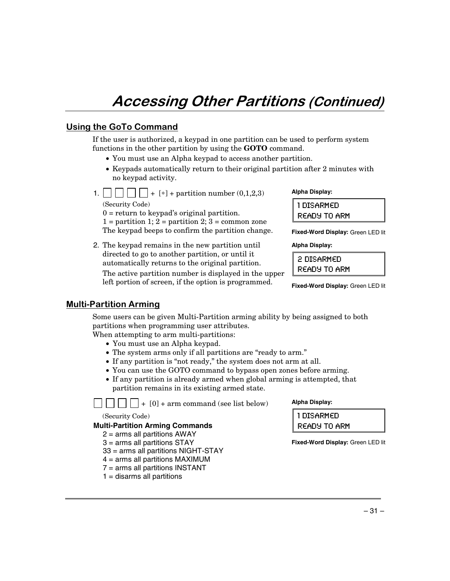## **Accessing Other Partitions (Continued)**

## <u>Using the GoTo Command</u>

If the user is authorized, a keypad in one partition can be used to perform system functions in the other partition by using the **GOTO** command.

- You must use an Alpha keypad to access another partition.
- Keypads automatically return to their original partition after 2 minutes with no keypad activity.
- 1.  $\vert \vert \vert \vert \vert \vert \vert + [*] +$  partition number (0,1,2,3) (Security Code)

 $0 =$  return to keypad's original partition.  $1 =$  partition 1;  $2 =$  partition 2;  $3 =$  common zone The keypad beeps to confirm the partition change.

2. The keypad remains in the new partition until directed to go to another partition, or until it automatically returns to the original partition. The active partition number is displayed in the upper left portion of screen, if the option is programmed.

#### **Alpha Display:**

1DISARMED READY TO ARM

**Fixed-Word Display:** Green LED lit

**Alpha Display:** 

2 DISARMED READY TO ARM

**Fixed-Word Display:** Green LED lit

### <u> Multi-Partition Arming</u>

Some users can be given Multi-Partition arming ability by being assigned to both partitions when programming user attributes.

When attempting to arm multi-partitions:

- You must use an Alpha keypad.
- The system arms only if all partitions are "ready to arm."
- If any partition is "not ready," the system does not arm at all.
- You can use the GOTO command to bypass open zones before arming.
- If any partition is already armed when global arming is attempted, that partition remains in its existing armed state.

 $\vert \vert \vert \vert \vert \vert \vert \vert + [0]$  + arm command (see list below)

(Security Code)

#### **Multi-Partition Arming Commands**

- $2 =$  arms all partitions AWAY
- 3 = arms all partitions STAY
- 33 = arms all partitions NIGHT-STAY
- 4 = arms all partitions MAXIMUM
- 7 = arms all partitions INSTANT
- $1 =$  disarms all partitions

#### **Alpha Display:**

1 DISARMED READY TO ARM

**Fixed-Word Display:** Green LED lit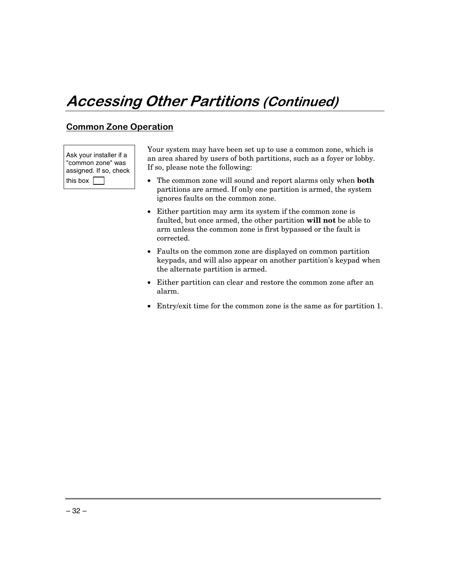## **Accessing Other Partitions (Continued)**

## <u>Common Zone Operation</u>

Ask your installer if a "common zone" was assigned. If so, check this box  $\Box$ 

Your system may have been set up to use a common zone, which is an area shared by users of both partitions, such as a foyer or lobby. If so, please note the following:

- The common zone will sound and report alarms only when **both** partitions are armed. If only one partition is armed, the system ignores faults on the common zone.
- Either partition may arm its system if the common zone is faulted, but once armed, the other partition **will not** be able to arm unless the common zone is first bypassed or the fault is corrected.
- Faults on the common zone are displayed on common partition keypads, and will also appear on another partition's keypad when the alternate partition is armed.
- Either partition can clear and restore the common zone after an alarm.
- Entry/exit time for the common zone is the same as for partition 1.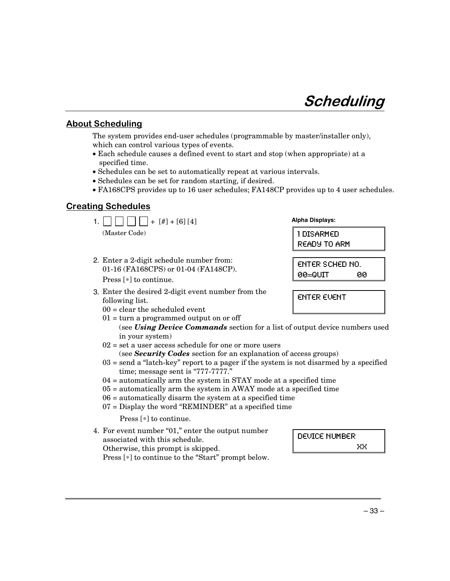## Scheduling

### <u>About Scheduling</u>

The system provides end-user schedules (programmable by master/installer only), which can control various types of events.

- Each schedule causes a defined event to start and stop (when appropriate) at a specified time.
- Schedules can be set to automatically repeat at various intervals.
- Schedules can be set for random starting, if desired.
- FA168CPS provides up to 16 user schedules; FA148CP provides up to 4 user schedules.

### **Creating Schedules**

| $+$ [#] + [6] [4]<br>1.1                                                                                     | <b>Alpha Displays:</b>                       |
|--------------------------------------------------------------------------------------------------------------|----------------------------------------------|
| (Master Code)                                                                                                | 1 DISARMED<br><b>READY TO ARM</b>            |
| 2. Enter a 2-digit schedule number from:<br>01-16 (FA168CPS) or 01-04 (FA148CP).<br>Press $[*]$ to continue. | <b>ENTER SCHED NO.</b><br>$00 = 0$ UIT<br>00 |
| 3. Enter the desired 2-digit event number from the<br>following list.                                        | <b>ENTER EVENT</b>                           |

- $00 =$  clear the scheduled event
- $01 =$  turn a programmed output on or off (see *Using Device Commands* section for a list of output device numbers used in your system)
- $02$  = set a user access schedule for one or more users (see *Security Codes* section for an explanation of access groups)
- 03 = send a "latch-key" report to a pager if the system is not disarmed by a specified time; message sent is "777-7777."
- 04 = automatically arm the system in STAY mode at a specified time
- 05 = automatically arm the system in AWAY mode at a specified time
- 06 = automatically disarm the system at a specified time
- 07 = Display the word "REMINDER" at a specified time

Press [∗] to continue.

4. For event number "01," enter the output number associated with this schedule. Otherwise, this prompt is skipped. Press [∗] to continue to the "Start" prompt below.

DEUICE NUMBER XX.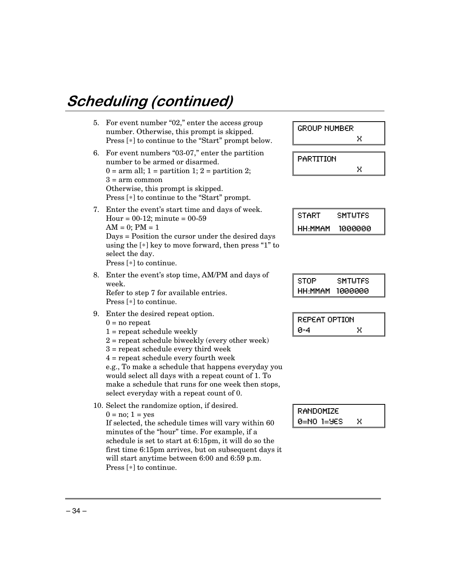# Scheduling (continued)

| 5. | For event number "02," enter the access group<br>number. Otherwise, this prompt is skipped.<br>Press [*] to continue to the "Start" prompt below.                                                                                                                                                                                                                                     | <b>GROUP NUMBER</b><br>x                             |
|----|---------------------------------------------------------------------------------------------------------------------------------------------------------------------------------------------------------------------------------------------------------------------------------------------------------------------------------------------------------------------------------------|------------------------------------------------------|
| 6. | For event numbers "03-07," enter the partition<br>number to be armed or disarmed.<br>$0 = \text{arm all}; 1 = \text{partition 1}; 2 = \text{partition 2};$<br>$3 = arm common$                                                                                                                                                                                                        | PARTITION<br>Χ                                       |
|    | Otherwise, this prompt is skipped.<br>Press [*] to continue to the "Start" prompt.                                                                                                                                                                                                                                                                                                    |                                                      |
| 7. | Enter the event's start time and days of week.<br>Hour = $00-12$ ; minute = $00-59$<br>$AM = 0$ ; $PM = 1$                                                                                                                                                                                                                                                                            | <b>START</b><br><b>SMTUTFS</b><br>HH:MMAM<br>1000000 |
|    | Days = Position the cursor under the desired days<br>using the $[*]$ key to move forward, then press "1" to<br>select the day.<br>Press $[*]$ to continue.                                                                                                                                                                                                                            |                                                      |
| 8. | Enter the event's stop time, AM/PM and days of<br>week.<br>Refer to step 7 for available entries.<br>Press $[*]$ to continue.                                                                                                                                                                                                                                                         | <b>STOP</b><br><b>SMTUTFS</b><br>HH:MMAM<br>1000000  |
| 9. | Enter the desired repeat option.<br>$0 = no$ repeat                                                                                                                                                                                                                                                                                                                                   | REPEAT OPTION                                        |
|    | $1 =$ repeat schedule weekly<br>$2$ = repeat schedule biweekly (every other week)<br>$3$ = repeat schedule every third week<br>$4$ = repeat schedule every fourth week<br>e.g., To make a schedule that happens everyday you<br>would select all days with a repeat count of 1. To<br>make a schedule that runs for one week then stops,<br>select everyday with a repeat count of 0. | й-4<br>Χ                                             |
|    | 10. Select the randomize option, if desired.<br>$0 = no$ ; $1 = yes$<br>If selected, the schedule times will vary within 60                                                                                                                                                                                                                                                           | RANDOMIZE<br>$0=NO$ $1=9ES$<br>Χ                     |
|    | minutes of the "hour" time. For example, if a<br>schedule is set to start at 6:15pm, it will do so the<br>first time 6:15pm arrives, but on subsequent days it                                                                                                                                                                                                                        |                                                      |

will start anytime between 6:00 and 6:59 p.m.

Press [∗] to continue.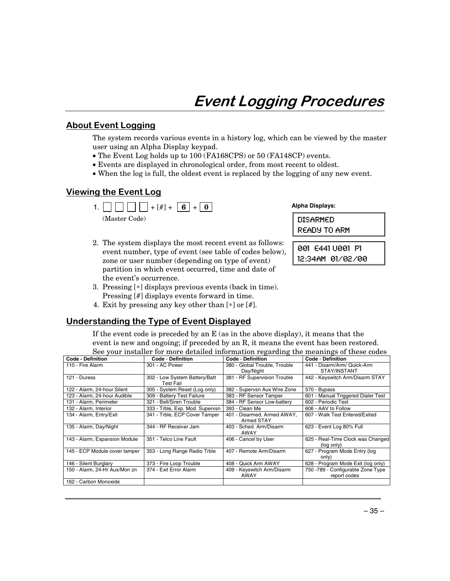## **Event Logging Procedures**

### <u>About Event Logging</u>

The system records various events in a history log, which can be viewed by the master user using an Alpha Display keypad.

- The Event Log holds up to 100 (FA168CPS) or 50 (FA148CP) events.
- Events are displayed in chronological order, from most recent to oldest.
- When the log is full, the oldest event is replaced by the logging of any new event.

### <u>Viewing the Event Log</u>



- 2. The system displays the most recent event as follows: event number, type of event (see table of codes below), zone or user number (depending on type of event) partition in which event occurred, time and date of the event's occurrence.
- 3. Pressing [∗] displays previous events (back in time). Pressing [#] displays events forward in time.
- 4. Exit by pressing any key other than [∗] or [#].

## <u>Understanding the Type of Event Displayed</u>

If the event code is preceded by an E (as in the above display), it means that the event is new and ongoing; if preceded by an R, it means the event has been restored. See your installer for more detailed information regarding the meanings of these codes

| <b>Code - Definition</b>      | <b>Code - Definition</b>        | <b>Code - Definition</b>      | <b>Code - Definition</b>           |
|-------------------------------|---------------------------------|-------------------------------|------------------------------------|
| 110 - Fire Alarm              | 301 - AC Power                  | 380 - Global Trouble, Trouble | 441 - Disarm/Arm/ Quick-Arm        |
|                               |                                 | Day/Night                     | STAY/INSTANT                       |
| 121 - Duress                  | 302 - Low System Battery/Batt   | 381 - RF Supervision Trouble  | 442 - Keyswitch Arm/Disarm STAY    |
|                               | Test Fail                       |                               |                                    |
| 122 - Alarm, 24-hour Silent   | 305 - System Reset (Log only)   | 382 - Supervsn Aux Wire Zone  | 570 - Bypass                       |
| 123 - Alarm, 24-hour Audible  | 309 - Battery Test Failure      | 383 - RF Sensor Tamper        | 601 - Manual Triggered Dialer Test |
| 131 - Alarm, Perimeter        | 321 - Bell/Siren Trouble        | 384 - RF Sensor Low-battery   | 602 - Periodic Test                |
| 132 - Alarm, Interior         | 333 - Trble, Exp. Mod. Supervsn | 393 - Clean Me                | 606 - AAV to Follow                |
| 134 - Alarm, Entry/Exit       | 341 - Trble, ECP Cover Tamper   | 401 - Disarmed, Armed AWAY.   | 607 - Walk Test Entered/Exited     |
|                               |                                 | Armed STAY                    |                                    |
| 135 - Alarm, Day/Night        | 344 - RF Receiver Jam           | 403 - Sched, Arm/Disarm       | 623 - Event Log 80% Full           |
|                               |                                 | AWAY                          |                                    |
| 143 - Alarm, Expansion Module | 351 - Telco Line Fault          | 406 - Cancel by User          | 625 - Real-Time Clock was Changed  |
|                               |                                 |                               | (log only)                         |
| 145 - ECP Module cover tamper | 353 - Long Range Radio Trble    | 407 - Remote Arm/Disarm       | 627 - Program Mode Entry (log      |
|                               |                                 |                               | only)                              |
| 146 - Silent Burglary         | 373 - Fire Loop Trouble         | 408 - Quick Arm AWAY          | 628 - Program Mode Exit (log only) |
| 150 - Alarm, 24-Hr Aux/Mon zn | 374 - Exit Error Alarm          | 409 - Keyswitch Arm/Disarm    | 750 - 789 - Configurable Zone Type |
|                               |                                 | AWAY                          | report codes                       |
| 162 - Carbon Monoxide         |                                 |                               |                                    |

**Alpha Displays:** 

 $DISARMFD$ READY TO ARM

001 E441 U001 P1 12:34AM 01/02/00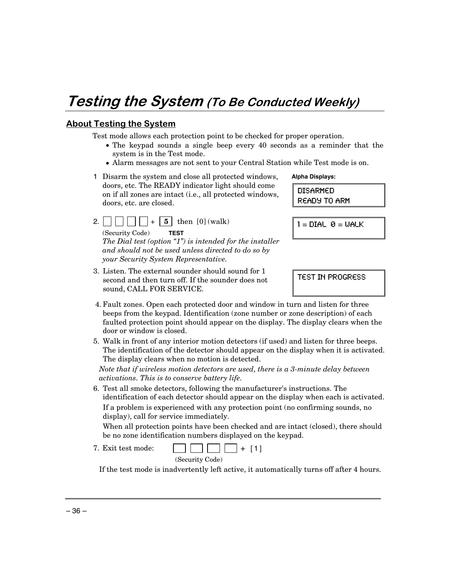## Testing the System (To Be Conducted Weekly)

### <u>About Testing the System</u>

Test mode allows each protection point to be checked for proper operation.

- The keypad sounds a single beep every 40 seconds as a reminder that the system is in the Test mode.
- Alarm messages are not sent to your Central Station while Test mode is on.

| 1 Disarm the system and close all protected windows,     |
|----------------------------------------------------------|
| doors, etc. The READY indicator light should come        |
| on if all zones are intact (i.e., all protected windows, |
| doors, etc. are closed.                                  |

2.  $\vert \vert \vert \vert \vert \vert \vert + \vert 5 \vert$  then [0] (walk) (Security Code) **TEST** 

*The Dial test (option "1") is intended for the installer and should not be used unless directed to do so by your Security System Representative.*

3. Listen. The external sounder should sound for 1 second and then turn off. If the sounder does not sound, CALL FOR SERVICE.

**Alpha Displays:** 

DISARMED READY TO ARM

 $l = DIAL$   $\theta = WALK$ 

TEST IN PROGRESS

- 4. Fault zones. Open each protected door and window in turn and listen for three beeps from the keypad. Identification (zone number or zone description) of each faulted protection point should appear on the display. The display clears when the door or window is closed.
- 5. Walk in front of any interior motion detectors (if used) and listen for three beeps. The identification of the detector should appear on the display when it is activated. The display clears when no motion is detected.

*Note that if wireless motion detectors are used, there is a 3-minute delay between activations. This is to conserve battery life.* 

6. Test all smoke detectors, following the manufacturer's instructions. The identification of each detector should appear on the display when each is activated. If a problem is experienced with any protection point (no confirming sounds, no display), call for service immediately.

 When all protection points have been checked and are intact (closed), there should be no zone identification numbers displayed on the keypad.

- 7. Exit test mode:  $\Box$   $\Box$  + [1]
- (Security Code)

If the test mode is inadvertently left active, it automatically turns off after 4 hours.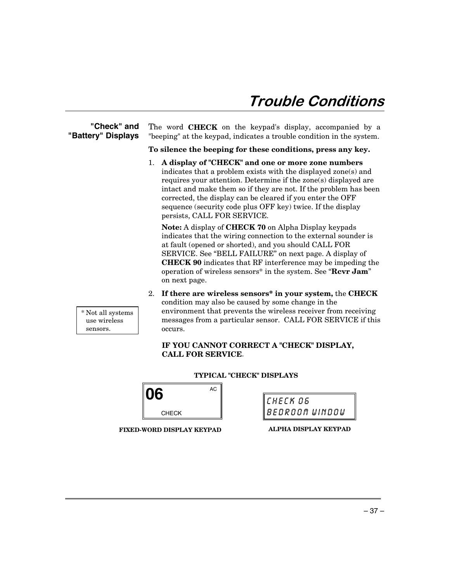## Trouble Conditions

#### **"Check" and "Battery" Displays**

The word **CHECK** on the keypad's display, accompanied by a "beeping" at the keypad, indicates a trouble condition in the system.

**To silence the beeping for these conditions, press any key.** 

1. **A display of "CHECK" and one or more zone numbers** indicates that a problem exists with the displayed zone(s) and requires your attention. Determine if the zone(s) displayed are intact and make them so if they are not. If the problem has been corrected, the display can be cleared if you enter the OFF sequence (security code plus OFF key) twice. If the display persists, CALL FOR SERVICE*.* 

**Note:** A display of **CHECK 70** on Alpha Display keypads indicates that the wiring connection to the external sounder is at fault (opened or shorted), and you should CALL FOR SERVICE. See "BELL FAILURE" on next page. A display of **CHECK 90** indicates that RF interference may be impeding the operation of wireless sensors\* in the system. See "**Rcvr Jam**" on next page.

2. **If there are wireless sensors\* in your system,** the **CHECK** condition may also be caused by some change in the environment that prevents the wireless receiver from receiving messages from a particular sensor. CALL FOR SERVICE if this occurs.

#### **IF YOU CANNOT CORRECT A "CHECK" DISPLAY, CALL FOR SERVICE**.

|              |    | <b>TYPICAL "CHECK" DISPLAYS</b> |        |
|--------------|----|---------------------------------|--------|
| 16           | АC |                                 |        |
|              |    |                                 | ICHECK |
| <b>CHECK</b> |    |                                 | BEDROI |

| $\parallel$ CHECK06          |  |
|------------------------------|--|
| <i><b>BEDROOM WINDOW</b></i> |  |

**FIXED-WORD DISPLAY KEYPAD** 

 \* Not all systems use wireless sensors.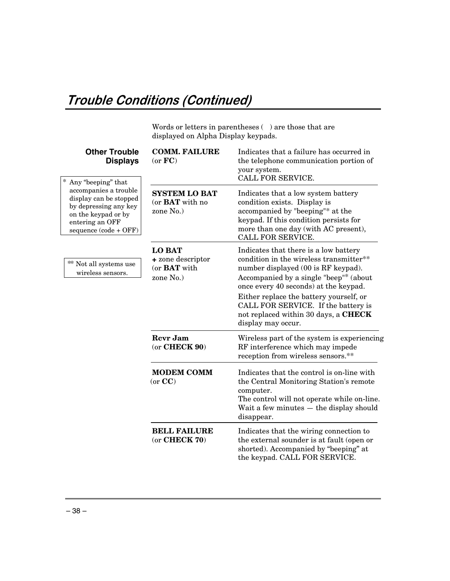## Trouble Conditions (Continued)

Words or letters in parentheses  $(\phantom{a})$  are those that are displayed on Alpha Display keypads.

| <b>Other Trouble</b><br><b>Displays</b>                                                                                                                           | <b>COMM. FAILURE</b><br>(or FC)                                        | Indicates that a failure has occurred in<br>the telephone communication portion of<br>your system.<br>CALL FOR SERVICE.                                                                                                                                                                                                                                    |
|-------------------------------------------------------------------------------------------------------------------------------------------------------------------|------------------------------------------------------------------------|------------------------------------------------------------------------------------------------------------------------------------------------------------------------------------------------------------------------------------------------------------------------------------------------------------------------------------------------------------|
| Any "beeping" that<br>accompanies a trouble<br>display can be stopped<br>by depressing any key<br>on the keypad or by<br>entering an OFF<br>sequence (code + OFF) | <b>SYSTEM LO BAT</b><br>(or <b>BAT</b> with no<br>zone No.)            | Indicates that a low system battery<br>condition exists. Display is<br>accompanied by "beeping"* at the<br>keypad. If this condition persists for<br>more than one day (with AC present),<br>CALL FOR SERVICE.                                                                                                                                             |
| ** Not all systems use<br>wireless sensors.                                                                                                                       | <b>LO BAT</b><br>+ zone descriptor<br>(or <b>BAT</b> with<br>zone No.) | Indicates that there is a low battery<br>condition in the wireless transmitter**<br>number displayed (00 is RF keypad).<br>Accompanied by a single "beep"* (about<br>once every 40 seconds) at the keypad.<br>Either replace the battery yourself, or<br>CALL FOR SERVICE. If the battery is<br>not replaced within 30 days, a CHECK<br>display may occur. |
|                                                                                                                                                                   | <b>Revr Jam</b><br>$(or$ CHECK $90)$                                   | Wireless part of the system is experiencing<br>RF interference which may impede<br>reception from wireless sensors.**                                                                                                                                                                                                                                      |
|                                                                                                                                                                   | <b>MODEM COMM</b><br>(or CC)                                           | Indicates that the control is on-line with<br>the Central Monitoring Station's remote<br>computer.<br>The control will not operate while on-line.<br>Wait a few minutes - the display should<br>disappear.                                                                                                                                                 |
|                                                                                                                                                                   | <b>BELL FAILURE</b><br>$(or$ CHECK $70)$                               | Indicates that the wiring connection to<br>the external sounder is at fault (open or<br>shorted). Accompanied by "beeping" at<br>the keypad. CALL FOR SERVICE.                                                                                                                                                                                             |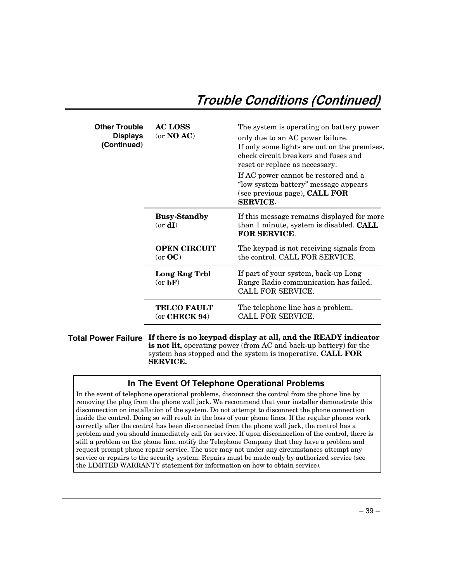## Trouble Conditions (Continued)

| Other Trouble<br><b>Displays</b><br>(Continued) | <b>AC LOSS</b><br>(or NO AC)          | The system is operating on battery power<br>only due to an AC power failure.<br>If only some lights are out on the premises,<br>check circuit breakers and fuses and<br>reset or replace as necessary.<br>If AC power cannot be restored and a<br>"low system battery" message appears<br>(see previous page), <b>CALL FOR</b><br><b>SERVICE.</b> |
|-------------------------------------------------|---------------------------------------|---------------------------------------------------------------------------------------------------------------------------------------------------------------------------------------------------------------------------------------------------------------------------------------------------------------------------------------------------|
|                                                 | <b>Busy-Standby</b><br>$(or \, dI)$   | If this message remains displayed for more<br>than 1 minute, system is disabled. <b>CALL</b><br>FOR SERVICE.                                                                                                                                                                                                                                      |
|                                                 | <b>OPEN CIRCUIT</b><br>(or OC)        | The keypad is not receiving signals from<br>the control. CALL FOR SERVICE.                                                                                                                                                                                                                                                                        |
|                                                 | Long Rng Trbl<br>(or bF)              | If part of your system, back-up Long<br>Range Radio communication has failed.<br>CALL FOR SERVICE.                                                                                                                                                                                                                                                |
|                                                 | <b>TELCO FAULT</b><br>$(or$ CHECK 94) | The telephone line has a problem.<br>CALL FOR SERVICE.                                                                                                                                                                                                                                                                                            |

**Total Power Failure If there is no keypad display at all, and the READY indicator is not lit,** operating power (from AC and back-up battery) for the system has stopped and the system is inoperative. **CALL FOR SERVICE.** 

### **In The Event Of Telephone Operational Problems**

In the event of telephone operational problems, disconnect the control from the phone line by removing the plug from the phone wall jack. We recommend that your installer demonstrate this disconnection on installation of the system. Do not attempt to disconnect the phone connection inside the control. Doing so will result in the loss of your phone lines. If the regular phones work correctly after the control has been disconnected from the phone wall jack, the control has a problem and you should immediately call for service. If upon disconnection of the control, there is still a problem on the phone line, notify the Telephone Company that they have a problem and request prompt phone repair service. The user may not under any circumstances attempt any service or repairs to the security system. Repairs must be made only by authorized service (see the LIMITED WARRANTY statement for information on how to obtain service).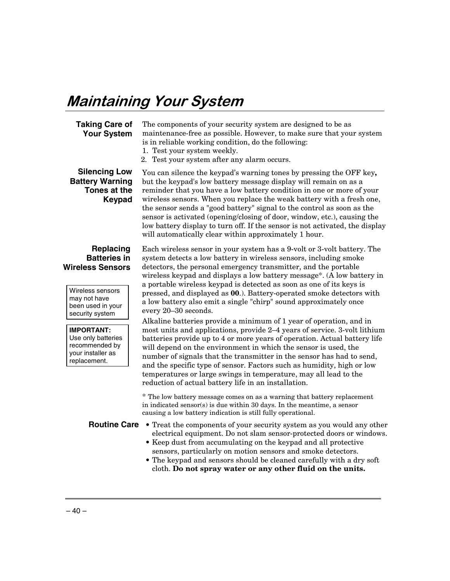## **Maintaining Your System**

#### **Taking Care of Your System**

The components of your security system are designed to be as maintenance-free as possible. However, to make sure that your system is in reliable working condition, do the following:

- 1. Test your system weekly.
- 2. Test your system after any alarm occurs.

### **Silencing Low Battery Warning Tones at the Keypad**

You can silence the keypad's warning tones by pressing the OFF key**,** but the keypad's low battery message display will remain on as a reminder that you have a low battery condition in one or more of your wireless sensors. When you replace the weak battery with a fresh one, the sensor sends a "good battery" signal to the control as soon as the sensor is activated (opening/closing of door, window, etc.), causing the low battery display to turn off. If the sensor is not activated, the display will automatically clear within approximately 1 hour.

#### **Replacing Batteries in Wireless Sensors**

Wireless sensors may not have been used in your security system

**IMPORTANT:**  Use only batteries recommended by your installer as replacement.

Each wireless sensor in your system has a 9-volt or 3-volt battery. The system detects a low battery in wireless sensors, including smoke detectors, the personal emergency transmitter, and the portable wireless keypad and displays a low battery message\*. (A low battery in a portable wireless keypad is detected as soon as one of its keys is pressed, and displayed as **00**.). Battery-operated smoke detectors with a low battery also emit a single "chirp" sound approximately once every 20–30 seconds.

Alkaline batteries provide a minimum of 1 year of operation, and in most units and applications, provide 2–4 years of service. 3-volt lithium batteries provide up to 4 or more years of operation. Actual battery life will depend on the environment in which the sensor is used, the number of signals that the transmitter in the sensor has had to send, and the specific type of sensor. Factors such as humidity, high or low temperatures or large swings in temperature, may all lead to the reduction of actual battery life in an installation.

\* The low battery message comes on as a warning that battery replacement in indicated sensor(s) is due within 30 days. In the meantime, a sensor causing a low battery indication is still fully operational.

- **Routine Care •** Treat the components of your security system as you would any other electrical equipment. Do not slam sensor-protected doors or windows.
	- **•** Keep dust from accumulating on the keypad and all protective sensors, particularly on motion sensors and smoke detectors.
	- **•** The keypad and sensors should be cleaned carefully with a dry soft cloth. **Do not spray water or any other fluid on the units.**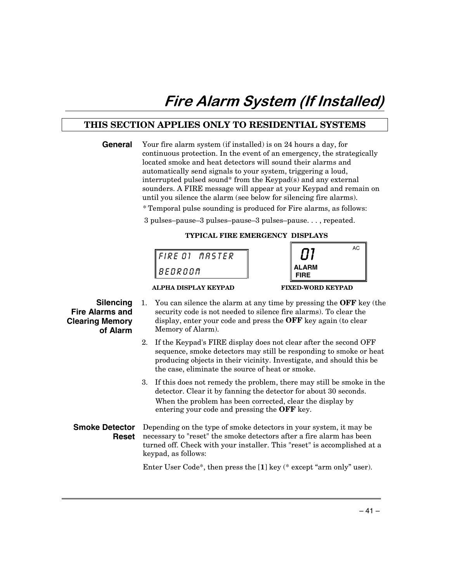## Fire Alarm System (If Installed)

## **THIS SECTION APPLIES ONLY TO RESIDENTIAL SYSTEMS**

| General                                                                   | Your fire alarm system (if installed) is on 24 hours a day, for<br>continuous protection. In the event of an emergency, the strategically<br>located smoke and heat detectors will sound their alarms and<br>automatically send signals to your system, triggering a loud,<br>interrupted pulsed sound* from the Keypad(s) and any external<br>sounders. A FIRE message will appear at your Keypad and remain on<br>until you silence the alarm (see below for silencing fire alarms).<br>*Temporal pulse sounding is produced for Fire alarms, as follows:<br>3 pulses-pause-3 pulses-pause-3 pulses-pause, repeated. |  |  |  |  |
|---------------------------------------------------------------------------|------------------------------------------------------------------------------------------------------------------------------------------------------------------------------------------------------------------------------------------------------------------------------------------------------------------------------------------------------------------------------------------------------------------------------------------------------------------------------------------------------------------------------------------------------------------------------------------------------------------------|--|--|--|--|
|                                                                           | TYPICAL FIRE EMERGENCY DISPLAYS                                                                                                                                                                                                                                                                                                                                                                                                                                                                                                                                                                                        |  |  |  |  |
|                                                                           | AC<br>FIRE 01 MASTER<br>BEDROOM<br>FIRF                                                                                                                                                                                                                                                                                                                                                                                                                                                                                                                                                                                |  |  |  |  |
| Silencing<br><b>Fire Alarms and</b><br><b>Clearing Memory</b><br>of Alarm | <b>FIXED-WORD KEYPAD</b><br>ALPHA DISPLAY KEYPAD<br>You can silence the alarm at any time by pressing the OFF key (the<br>1.<br>security code is not needed to silence fire alarms). To clear the<br>display, enter your code and press the OFF key again (to clear<br>Memory of Alarm).                                                                                                                                                                                                                                                                                                                               |  |  |  |  |
|                                                                           | If the Keypad's FIRE display does not clear after the second OFF<br>sequence, smoke detectors may still be responding to smoke or heat<br>producing objects in their vicinity. Investigate, and should this be<br>the case, eliminate the source of heat or smoke.                                                                                                                                                                                                                                                                                                                                                     |  |  |  |  |
|                                                                           | 3. If this does not remedy the problem, there may still be smoke in the<br>detector. Clear it by fanning the detector for about 30 seconds.<br>When the problem has been corrected, clear the display by<br>entering your code and pressing the OFF key.                                                                                                                                                                                                                                                                                                                                                               |  |  |  |  |
| <b>Smoke Detector</b><br><b>Reset</b>                                     | Depending on the type of smoke detectors in your system, it may be<br>necessary to "reset" the smoke detectors after a fire alarm has been<br>turned off. Check with your installer. This "reset" is accomplished at a<br>keypad, as follows:                                                                                                                                                                                                                                                                                                                                                                          |  |  |  |  |
|                                                                           | Enter User Code*, then press the [1] key (* except "arm only" user).                                                                                                                                                                                                                                                                                                                                                                                                                                                                                                                                                   |  |  |  |  |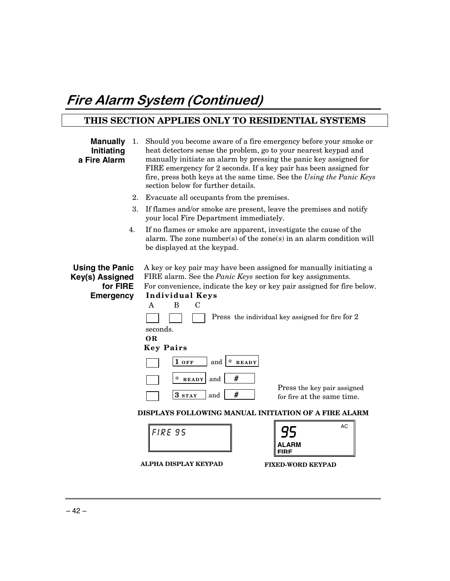## Fire Alarm System (Continued)

## **THIS SECTION APPLIES ONLY TO RESIDENTIAL SYSTEMS**

| <b>Manually</b><br>1.<br>Initiating<br>a Fire Alarm                       | Should you become aware of a fire emergency before your smoke or<br>heat detectors sense the problem, go to your nearest keypad and<br>manually initiate an alarm by pressing the panic key assigned for<br>FIRE emergency for 2 seconds. If a key pair has been assigned for<br>fire, press both keys at the same time. See the Using the Panic Keys<br>section below for further details.                                                                                                                                               |  |  |  |
|---------------------------------------------------------------------------|-------------------------------------------------------------------------------------------------------------------------------------------------------------------------------------------------------------------------------------------------------------------------------------------------------------------------------------------------------------------------------------------------------------------------------------------------------------------------------------------------------------------------------------------|--|--|--|
| 2.                                                                        | Evacuate all occupants from the premises.                                                                                                                                                                                                                                                                                                                                                                                                                                                                                                 |  |  |  |
| 3.                                                                        | If flames and/or smoke are present, leave the premises and notify<br>your local Fire Department immediately.                                                                                                                                                                                                                                                                                                                                                                                                                              |  |  |  |
| 4.                                                                        | If no flames or smoke are apparent, investigate the cause of the<br>alarm. The zone number(s) of the zone(s) in an alarm condition will<br>be displayed at the keypad.                                                                                                                                                                                                                                                                                                                                                                    |  |  |  |
| <b>Using the Panic</b><br>Key(s) Assigned<br>for FIRE<br><b>Emergency</b> | A key or key pair may have been assigned for manually initiating a<br>FIRE alarm. See the <i>Panic Keys</i> section for key assignments.<br>For convenience, indicate the key or key pair assigned for fire below.<br><b>Individual Keys</b><br>B<br>$\mathbf C$<br>A<br>Press the individual key assigned for fire for 2<br>seconds.<br><b>OR</b><br><b>Key Pairs</b><br>$*$ READY<br>$1$ off<br>and<br>#<br>$\ast$<br>and<br><b>READY</b><br>Press the key pair assigned<br>#<br>3 <sub>STAY</sub><br>and<br>for fire at the same time. |  |  |  |
|                                                                           | DISPLAYS FOLLOWING MANUAL INITIATION OF A FIRE ALARM                                                                                                                                                                                                                                                                                                                                                                                                                                                                                      |  |  |  |
|                                                                           | AC<br><b>FIRE 95</b><br>AL ARM<br>FIRF<br>ALPHA DISPLAY KEYPAD<br><b>FIXED-WORD KEYPAD</b>                                                                                                                                                                                                                                                                                                                                                                                                                                                |  |  |  |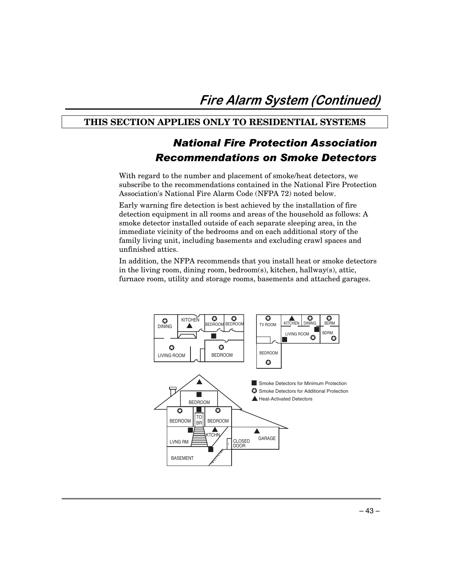### **THIS SECTION APPLIES ONLY TO RESIDENTIAL SYSTEMS**

## National Fire Protection Association Recommendations on Smoke Detectors

With regard to the number and placement of smoke/heat detectors, we subscribe to the recommendations contained in the National Fire Protection Association's National Fire Alarm Code (NFPA 72) noted below.

Early warning fire detection is best achieved by the installation of fire detection equipment in all rooms and areas of the household as follows: A smoke detector installed outside of each separate sleeping area, in the immediate vicinity of the bedrooms and on each additional story of the family living unit, including basements and excluding crawl spaces and unfinished attics.

In addition, the NFPA recommends that you install heat or smoke detectors in the living room, dining room, bedroom(s), kitchen, hallway(s), attic, furnace room, utility and storage rooms, basements and attached garages.

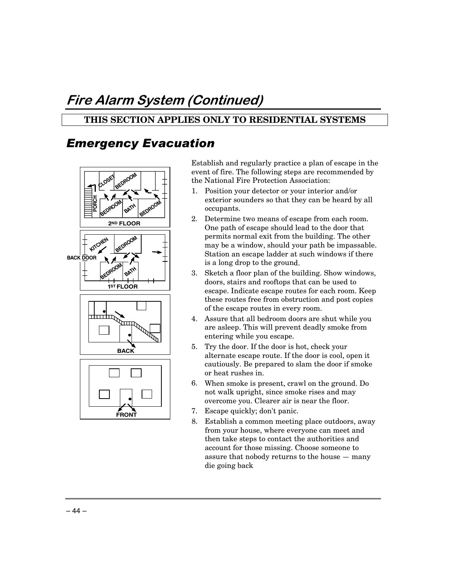## Fire Alarm System (Continued)

## **THIS SECTION APPLIES ONLY TO RESIDENTIAL SYSTEMS**

## **Emergency Evacuation**



Establish and regularly practice a plan of escape in the event of fire. The following steps are recommended by the National Fire Protection Association:

- 1. Position your detector or your interior and/or exterior sounders so that they can be heard by all occupants.
- 2. Determine two means of escape from each room. One path of escape should lead to the door that permits normal exit from the building. The other may be a window, should your path be impassable. Station an escape ladder at such windows if there is a long drop to the ground.
- 3. Sketch a floor plan of the building. Show windows, doors, stairs and rooftops that can be used to escape. Indicate escape routes for each room. Keep these routes free from obstruction and post copies of the escape routes in every room.
- 4. Assure that all bedroom doors are shut while you are asleep. This will prevent deadly smoke from entering while you escape.
- 5. Try the door. If the door is hot, check your alternate escape route. If the door is cool, open it cautiously. Be prepared to slam the door if smoke or heat rushes in.
- 6. When smoke is present, crawl on the ground. Do not walk upright, since smoke rises and may overcome you. Clearer air is near the floor.
- 7. Escape quickly; don't panic.
- 8. Establish a common meeting place outdoors, away from your house, where everyone can meet and then take steps to contact the authorities and account for those missing. Choose someone to assure that nobody returns to the house — many die going back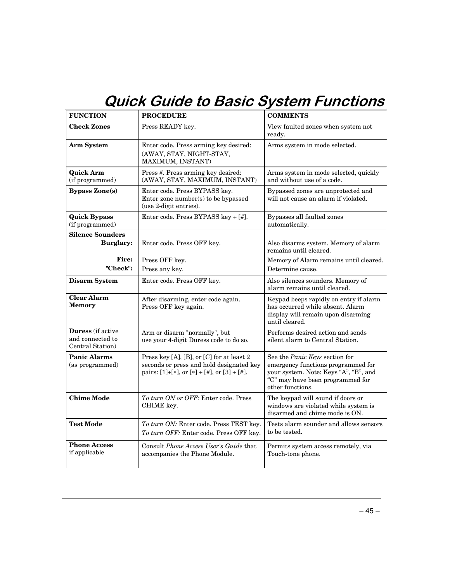## **Quick Guide to Basic System Functions**

| <b>FUNCTION</b>                                           | <b>PROCEDURE</b>                                                                                                                     | <b>COMMENTS</b>                                                                                                                                                       |
|-----------------------------------------------------------|--------------------------------------------------------------------------------------------------------------------------------------|-----------------------------------------------------------------------------------------------------------------------------------------------------------------------|
| <b>Check Zones</b>                                        | Press READY key.                                                                                                                     | View faulted zones when system not<br>ready.                                                                                                                          |
| Arm System                                                | Enter code. Press arming key desired:<br>(AWAY, STAY, NIGHT-STAY,<br>MAXIMUM, INSTANT)                                               | Arms system in mode selected.                                                                                                                                         |
| <b>Quick Arm</b><br>(if programmed)                       | Press #. Press arming key desired:<br>(AWAY, STAY, MAXIMUM, INSTANT)                                                                 | Arms system in mode selected, quickly<br>and without use of a code.                                                                                                   |
| <b>Bypass Zone(s)</b>                                     | Enter code. Press BYPASS key.<br>Enter zone number(s) to be bypassed<br>(use 2-digit entries).                                       | Bypassed zones are unprotected and<br>will not cause an alarm if violated.                                                                                            |
| <b>Quick Bypass</b><br>(if programmed)                    | Enter code. Press BYPASS key + [#].                                                                                                  | Bypasses all faulted zones<br>automatically.                                                                                                                          |
| <b>Silence Sounders</b><br><b>Burglary:</b>               | Enter code. Press OFF key.                                                                                                           | Also disarms system. Memory of alarm<br>remains until cleared.                                                                                                        |
| <b>Fire:</b><br>"Check":                                  | Press OFF key.                                                                                                                       | Memory of Alarm remains until cleared.                                                                                                                                |
|                                                           | Press any key.                                                                                                                       | Determine cause.                                                                                                                                                      |
| <b>Disarm System</b>                                      | Enter code. Press OFF key.                                                                                                           | Also silences sounders. Memory of<br>alarm remains until cleared.                                                                                                     |
| <b>Clear Alarm</b><br><b>Memory</b>                       | After disarming, enter code again.<br>Press OFF key again.                                                                           | Keypad beeps rapidly on entry if alarm<br>has occurred while absent. Alarm<br>display will remain upon disarming<br>until cleared.                                    |
| Duress (if active<br>and connected to<br>Central Station) | Arm or disarm "normally", but<br>use your 4-digit Duress code to do so.                                                              | Performs desired action and sends<br>silent alarm to Central Station.                                                                                                 |
| <b>Panic Alarms</b><br>(as programmed)                    | Press key [A], [B], or [C] for at least 2<br>seconds or press and hold designated key<br>pairs: [1]+[*], or [*] + [#], or [3] + [#]. | See the Panic Keys section for<br>emergency functions programmed for<br>your system. Note: Keys "A", "B", and<br>"C" may have been programmed for<br>other functions. |
| <b>Chime Mode</b>                                         | To turn ON or OFF: Enter code. Press<br>CHIME key.                                                                                   | The keypad will sound if doors or<br>windows are violated while system is<br>disarmed and chime mode is ON.                                                           |
| <b>Test Mode</b>                                          | To turn ON: Enter code. Press TEST key.<br>To turn OFF: Enter code. Press OFF key.                                                   | Tests alarm sounder and allows sensors<br>to be tested.                                                                                                               |
| <b>Phone Access</b><br>if applicable                      | Consult Phone Access User's Guide that<br>accompanies the Phone Module.                                                              | Permits system access remotely, via<br>Touch-tone phone.                                                                                                              |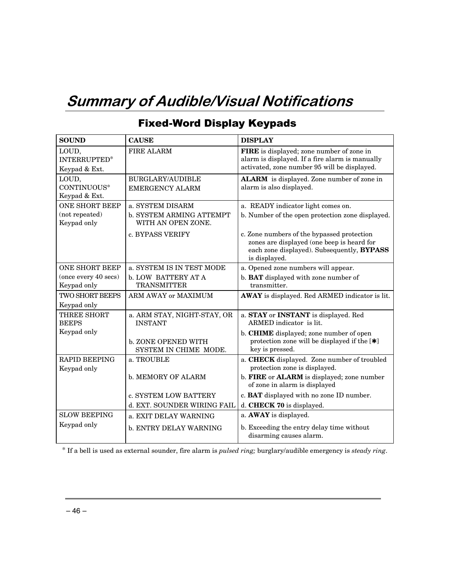## **Summary of Audible/Visual Notifications**

| <b>SOUND</b>                        | <b>CAUSE</b>                                   | <b>DISPLAY</b>                                                                                                                                          |
|-------------------------------------|------------------------------------------------|---------------------------------------------------------------------------------------------------------------------------------------------------------|
| LOUD,<br>INTERRUPTED*               | FIRE ALARM                                     | FIRE is displayed; zone number of zone in<br>alarm is displayed. If a fire alarm is manually                                                            |
| Keypad & Ext.                       |                                                | activated, zone number 95 will be displayed.                                                                                                            |
| LOUD,                               | <b>BURGLARY/AUDIBLE</b>                        | ALARM is displayed. Zone number of zone in                                                                                                              |
| CONTINUOUS*                         | <b>EMERGENCY ALARM</b>                         | alarm is also displayed.                                                                                                                                |
| Keypad & Ext.                       |                                                |                                                                                                                                                         |
| <b>ONE SHORT BEEP</b>               | a. SYSTEM DISARM                               | a. READY indicator light comes on.                                                                                                                      |
| (not repeated)<br>Keypad only       | b. SYSTEM ARMING ATTEMPT<br>WITH AN OPEN ZONE. | b. Number of the open protection zone displayed.                                                                                                        |
|                                     | c. BYPASS VERIFY                               | c. Zone numbers of the bypassed protection<br>zones are displayed (one beep is heard for<br>each zone displayed). Subsequently, BYPASS<br>is displayed. |
| <b>ONE SHORT BEEP</b>               | a. SYSTEM IS IN TEST MODE                      | a. Opened zone numbers will appear.                                                                                                                     |
| (once every 40 secs)<br>Keypad only | b. LOW BATTERY AT A<br><b>TRANSMITTER</b>      | b. BAT displayed with zone number of<br>transmitter.                                                                                                    |
| <b>TWO SHORT BEEPS</b>              | ARM AWAY or MAXIMUM                            | AWAY is displayed. Red ARMED indicator is lit.                                                                                                          |
| Keypad only                         |                                                |                                                                                                                                                         |
| THREE SHORT<br><b>BEEPS</b>         | a. ARM STAY, NIGHT-STAY, OR<br><b>INSTANT</b>  | a. STAY or INSTANT is displayed. Red<br>ARMED indicator is lit.                                                                                         |
| Keypad only                         | b. ZONE OPENED WITH<br>SYSTEM IN CHIME MODE.   | b. CHIME displayed; zone number of open<br>protection zone will be displayed if the $[\ast]$<br>key is pressed.                                         |
| <b>RAPID BEEPING</b><br>Keypad only | a. TROUBLE                                     | a. CHECK displayed. Zone number of troubled<br>protection zone is displayed.                                                                            |
|                                     | <b>b. MEMORY OF ALARM</b>                      | b. FIRE or ALARM is displayed; zone number<br>of zone in alarm is displayed                                                                             |
|                                     | c. SYSTEM LOW BATTERY                          | c. BAT displayed with no zone ID number.                                                                                                                |
|                                     | d. EXT. SOUNDER WIRING FAIL                    | d. CHECK 70 is displayed.                                                                                                                               |
| <b>SLOW BEEPING</b>                 | a. EXIT DELAY WARNING                          | a. AWAY is displayed.                                                                                                                                   |
| Keypad only                         | b. ENTRY DELAY WARNING                         | b. Exceeding the entry delay time without<br>disarming causes alarm.                                                                                    |

## **Fixed-Word Display Keypads**

\* If a bell is used as external sounder, fire alarm is *pulsed ring;* burglary/audible emergency is *steady ring*.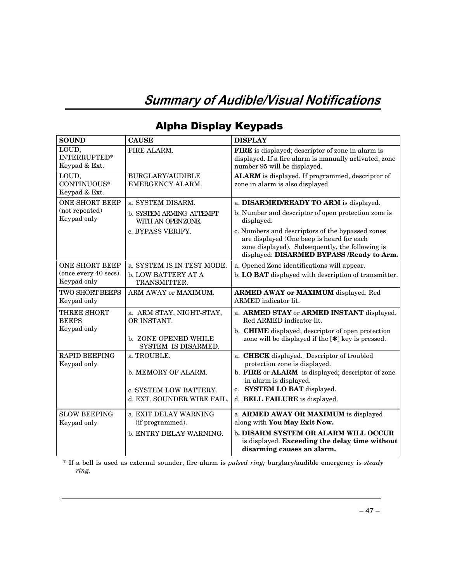## **Summary of Audible/Visual Notifications**

| <b>SOUND</b>                                  | <b>CAUSE</b>                                         | <b>DISPLAY</b>                                                                                                                                                                                |
|-----------------------------------------------|------------------------------------------------------|-----------------------------------------------------------------------------------------------------------------------------------------------------------------------------------------------|
| LOUD,<br><b>INTERRUPTED*</b><br>Keypad & Ext. | FIRE ALARM.                                          | FIRE is displayed; descriptor of zone in alarm is<br>displayed. If a fire alarm is manually activated, zone<br>number 95 will be displayed.                                                   |
| LOUD,<br>CONTINUOUS*<br>Keypad & Ext.         | <b>BURGLARY/AUDIBLE</b><br>EMERGENCY ALARM.          | ALARM is displayed. If programmed, descriptor of<br>zone in alarm is also displayed                                                                                                           |
| <b>ONE SHORT BEEP</b>                         | a. SYSTEM DISARM.                                    | a. DISARMED/READY TO ARM is displayed.                                                                                                                                                        |
| (not repeated)<br>Keypad only                 | <b>b. SYSTEM ARMING ATTEMPT</b><br>WITH AN OPENZONE. | b. Number and descriptor of open protection zone is<br>displayed.                                                                                                                             |
|                                               | c. BYPASS VERIFY.                                    | c. Numbers and descriptors of the bypassed zones<br>are displayed (One beep is heard for each<br>zone displayed). Subsequently, the following is<br>displayed: DISARMED BYPASS /Ready to Arm. |
| <b>ONE SHORT BEEP</b>                         | a. SYSTEM IS IN TEST MODE.                           | a. Opened Zone identifications will appear.                                                                                                                                                   |
| (once every 40 secs)<br>Keypad only           | b, LOW BATTERY AT A<br>TRANSMITTER.                  | b. LO BAT displayed with description of transmitter.                                                                                                                                          |
| <b>TWO SHORT BEEPS</b><br>Keypad only         | ARM AWAY or MAXIMUM.                                 | <b>ARMED AWAY or MAXIMUM</b> displayed. Red<br>ARMED indicator lit.                                                                                                                           |
| THREE SHORT<br><b>BEEPS</b>                   | a. ARM STAY, NIGHT-STAY,<br>OR INSTANT.              | a. ARMED STAY or ARMED INSTANT displayed.<br>Red ARMED indicator lit.                                                                                                                         |
| Keypad only                                   | b. ZONE OPENED WHILE<br>SYSTEM IS DISARMED.          | b. CHIME displayed, descriptor of open protection<br>zone will be displayed if the $[\ast]$ key is pressed.                                                                                   |
| <b>RAPID BEEPING</b><br>Keypad only           | a. TROUBLE.                                          | a. CHECK displayed. Descriptor of troubled<br>protection zone is displayed.                                                                                                                   |
|                                               | b. MEMORY OF ALARM.                                  | b. FIRE or ALARM is displayed; descriptor of zone<br>in alarm is displayed.                                                                                                                   |
|                                               | c. SYSTEM LOW BATTERY.                               | c. SYSTEM LO BAT displayed.                                                                                                                                                                   |
|                                               | d. EXT. SOUNDER WIRE FAIL.                           | d. BELL FAILURE is displayed.                                                                                                                                                                 |
| <b>SLOW BEEPING</b>                           | a. EXIT DELAY WARNING                                | a. ARMED AWAY OR MAXIMUM is displayed                                                                                                                                                         |
| Keypad only                                   | (if programmed).                                     | along with You May Exit Now.                                                                                                                                                                  |
|                                               | b. ENTRY DELAY WARNING.                              | b. DISARM SYSTEM OR ALARM WILL OCCUR<br>is displayed. Exceeding the delay time without<br>disarming causes an alarm.                                                                          |

## Alpha Display Keypads

\* If a bell is used as external sounder, fire alarm is *pulsed ring;* burglary/audible emergency is *steady ring*.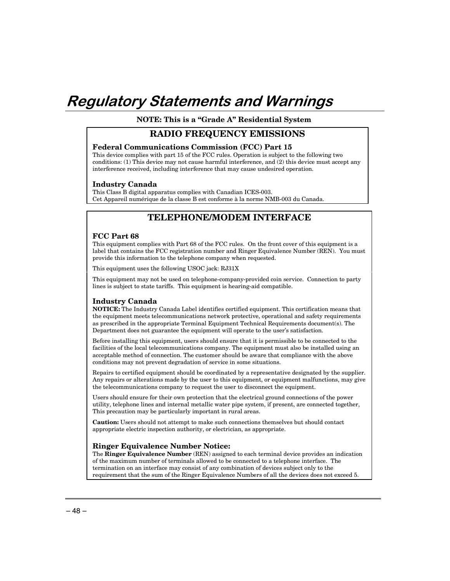## Regulatory Statements and Warnings

**NOTE: This is a "Grade A" Residential System** 

#### **RADIO FREQUENCY EMISSIONS**

#### **Federal Communications Commission (FCC) Part 15**

This device complies with part 15 of the FCC rules. Operation is subject to the following two conditions: (1) This device may not cause harmful interference, and (2) this device must accept any interference received, including interference that may cause undesired operation.

#### **Industry Canada**

This Class B digital apparatus complies with Canadian ICES-003. Cet Appareil numérique de la classe B est conforme à la norme NMB-003 du Canada.

## **TELEPHONE/MODEM INTERFACE**

#### **FCC Part 68**

This equipment complies with Part 68 of the FCC rules. On the front cover of this equipment is a label that contains the FCC registration number and Ringer Equivalence Number (REN). You must provide this information to the telephone company when requested.

This equipment uses the following USOC jack: RJ31X

This equipment may not be used on telephone-company-provided coin service. Connection to party lines is subject to state tariffs. This equipment is hearing-aid compatible.

#### **Industry Canada**

**NOTICE:** The Industry Canada Label identifies certified equipment. This certification means that the equipment meets telecommunications network protective, operational and safety requirements as prescribed in the appropriate Terminal Equipment Technical Requirements document(s). The Department does not guarantee the equipment will operate to the user's satisfaction.

Before installing this equipment, users should ensure that it is permissible to be connected to the facilities of the local telecommunications company. The equipment must also be installed using an acceptable method of connection. The customer should be aware that compliance with the above conditions may not prevent degradation of service in some situations.

Repairs to certified equipment should be coordinated by a representative designated by the supplier. Any repairs or alterations made by the user to this equipment, or equipment malfunctions, may give the telecommunications company to request the user to disconnect the equipment.

Users should ensure for their own protection that the electrical ground connections of the power utility, telephone lines and internal metallic water pipe system, if present, are connected together, This precaution may be particularly important in rural areas.

**Caution:** Users should not attempt to make such connections themselves but should contact appropriate electric inspection authority, or electrician, as appropriate.

#### **Ringer Equivalence Number Notice:**

The **Ringer Equivalence Number** (REN) assigned to each terminal device provides an indication of the maximum number of terminals allowed to be connected to a telephone interface. The termination on an interface may consist of any combination of devices subject only to the requirement that the sum of the Ringer Equivalence Numbers of all the devices does not exceed 5.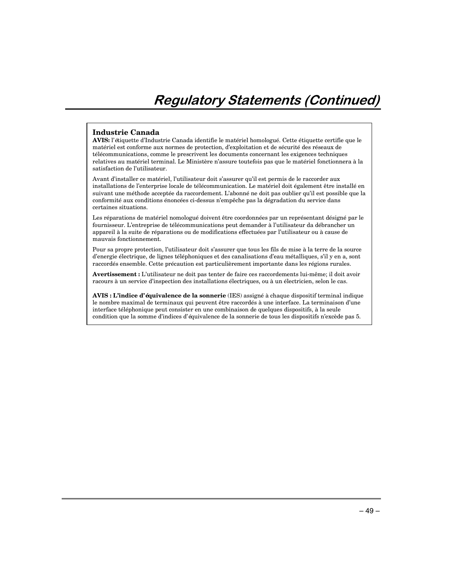#### **Industrie Canada**

**AVIS:** l'étiquette d'Industrie Canada identifie le matériel homologué. Cette étiquette certifie que le matériel est conforme aux normes de protection, d'exploitation et de sécurité des réseaux de télécommunications, comme le prescrivent les documents concernant les exigences techniques relatives au matériel terminal. Le Ministère n'assure toutefois pas que le matériel fonctionnera à la satisfaction de l'utilisateur.

Avant d'installer ce matériel, l'utilisateur doit s'assurer qu'il est permis de le raccorder aux installations de l'enterprise locale de télécommunication. Le matériel doit également être installé en suivant une méthode acceptée da raccordement. L'abonné ne doit pas oublier qu'il est possible que la conformité aux conditions énoncées ci-dessus n'empêche pas la dégradation du service dans certaines situations.

Les réparations de matériel nomologué doivent être coordonnées par un représentant désigné par le fournisseur. L'entreprise de télécommunications peut demander à l'utilisateur da débrancher un appareil à la suite de réparations ou de modifications effectuées par l'utilisateur ou à cause de mauvais fonctionnement.

Pour sa propre protection, l'utilisateur doit s'assurer que tous les fils de mise à la terre de la source d'energie électrique, de lignes téléphoniques et des canalisations d'eau métalliques, s'il y en a, sont raccordés ensemble. Cette précaution est particulièrement importante dans les régions rurales.

**Avertissement :** L'utilisateur ne doit pas tenter de faire ces raccordements lui-même; il doit avoir racours à un service d'inspection des installations électriques, ou à un électricien, selon le cas.

**AVIS : L'indice d'équivalence de la sonnerie** (IES) assigné à chaque dispositif terminal indique le nombre maximal de terminaux qui peuvent être raccordés à une interface. La terminaison d'une interface téléphonique peut consister en une combinaison de quelques dispositifs, à la seule condition que la somme d'indices d'équivalence de la sonnerie de tous les dispositifs n'excède pas 5.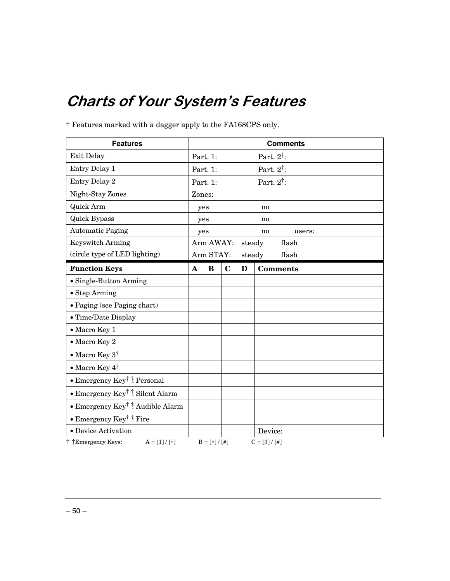## **Charts of Your System's Features**

| <b>Features</b>                              | <b>Comments</b>       |               |             |        |                       |
|----------------------------------------------|-----------------------|---------------|-------------|--------|-----------------------|
| Exit Delay                                   | Part. 1:              |               |             |        | Part. $2^{\dagger}$ : |
| Entry Delay 1                                |                       | Part. 1:      |             |        | Part. $2^{\dagger}$ : |
| Entry Delay 2                                | Part. 1:              |               |             |        | Part. $2^{\dagger}$ : |
| Night-Stay Zones                             | Zones:                |               |             |        |                       |
| Quick Arm                                    | yes<br>n <sub>0</sub> |               |             |        |                       |
| <b>Quick Bypass</b>                          | yes<br>n0             |               |             |        |                       |
| <b>Automatic Paging</b>                      | no<br>users:<br>yes   |               |             |        |                       |
| <b>Keyswitch Arming</b>                      |                       | Arm AWAY:     |             | steady | flash                 |
| (circle type of LED lighting)                |                       | Arm STAY:     |             | steady | flash                 |
| <b>Function Keys</b>                         | $\mathbf{A}$          | B             | $\mathbf C$ | D      | <b>Comments</b>       |
| • Single-Button Arming                       |                       |               |             |        |                       |
| • Step Arming                                |                       |               |             |        |                       |
| · Paging (see Paging chart)                  |                       |               |             |        |                       |
| • Time/Date Display                          |                       |               |             |        |                       |
| • Macro Key 1                                |                       |               |             |        |                       |
| • Macro Key 2                                |                       |               |             |        |                       |
| • Macro Key $3^{\dagger}$                    |                       |               |             |        |                       |
| • Macro Key $4^{\dagger}$                    |                       |               |             |        |                       |
| • Emergency Key <sup>†</sup> † Personal      |                       |               |             |        |                       |
| • Emergency Key <sup>†</sup> † Silent Alarm  |                       |               |             |        |                       |
| • Emergency Key <sup>†</sup> † Audible Alarm |                       |               |             |        |                       |
| • Emergency Key <sup>†</sup> $\ddagger$ Fire |                       |               |             |        |                       |
| • Device Activation                          |                       |               |             |        | Device:               |
| † †Emergency Keys:<br>$A = [1] / [*]$        |                       | $B = [*]/[#]$ |             |        | $C = [3]/[#]$         |

† Features marked with a dagger apply to the FA168CPS only.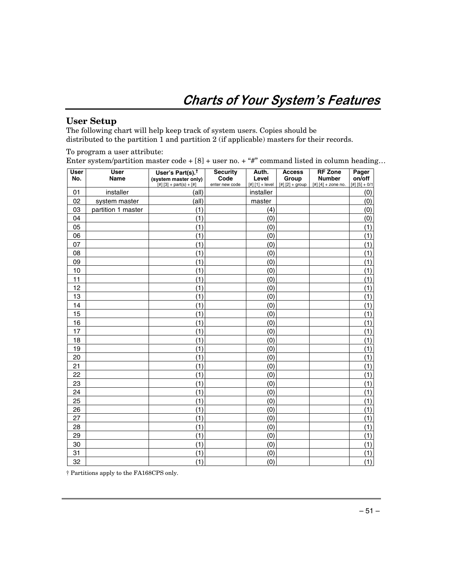## **Charts of Your System's Features**

### **User Setup**

The following chart will help keep track of system users. Copies should be distributed to the partition 1 and partition 2 (if applicable) masters for their records.

To program a user attribute:

Enter system/partition master code +  $[8]$  + user no. + "#" command listed in column heading...

| <b>User</b><br>No. | <b>User</b><br>Name | User's Part(s). <sup>†</sup>                      | <b>Security</b><br>Code | Auth.<br>Level    | <b>Access</b>              | <b>RF Zone</b><br><b>Number</b> | Pager<br>on/off |
|--------------------|---------------------|---------------------------------------------------|-------------------------|-------------------|----------------------------|---------------------------------|-----------------|
|                    |                     | (system master only)<br>[#] $[3] + part(s) + [#]$ | enter new code          | $[#] [1] + level$ | Group<br>$[#] [2] + group$ | $[#] [4] +$ zone no.            | $[#] [5] + 0/1$ |
| 01                 | installer           | (all)                                             |                         | installer         |                            |                                 | (0)             |
| 02                 | system master       | (all)                                             |                         | master            |                            |                                 | (0)             |
| 03                 | partition 1 master  | (1)                                               |                         | (4)               |                            |                                 | (0)             |
| 04                 |                     | (1)                                               |                         | (0)               |                            |                                 | (0)             |
| 05                 |                     | (1)                                               |                         | (0)               |                            |                                 | (1)             |
| 06                 |                     | (1)                                               |                         | (0)               |                            |                                 | (1)             |
| 07                 |                     | (1)                                               |                         | (0)               |                            |                                 | (1)             |
| 08                 |                     | (1)                                               |                         | (0)               |                            |                                 | (1)             |
| 09                 |                     | (1)                                               |                         | (0)               |                            |                                 | (1)             |
| 10                 |                     | (1)                                               |                         | (0)               |                            |                                 | (1)             |
| 11                 |                     | (1)                                               |                         | (0)               |                            |                                 | (1)             |
| 12                 |                     | (1)                                               |                         | (0)               |                            |                                 | (1)             |
| 13                 |                     | (1)                                               |                         | (0)               |                            |                                 | (1)             |
| 14                 |                     | (1)                                               |                         | (0)               |                            |                                 | (1)             |
| 15                 |                     | (1)                                               |                         | (0)               |                            |                                 | (1)             |
| 16                 |                     | (1)                                               |                         | (0)               |                            |                                 | (1)             |
| 17                 |                     | (1)                                               |                         | (0)               |                            |                                 | (1)             |
| 18                 |                     | (1)                                               |                         | (0)               |                            |                                 | (1)             |
| 19                 |                     | (1)                                               |                         | (0)               |                            |                                 | (1)             |
| 20                 |                     | (1)                                               |                         | (0)               |                            |                                 | (1)             |
| 21                 |                     | (1)                                               |                         | (0)               |                            |                                 | (1)             |
| 22                 |                     | (1)                                               |                         | (0)               |                            |                                 | (1)             |
| 23                 |                     | (1)                                               |                         | (0)               |                            |                                 | (1)             |
| 24                 |                     | (1)                                               |                         | (0)               |                            |                                 | (1)             |
| 25                 |                     | (1)                                               |                         | (0)               |                            |                                 | (1)             |
| 26                 |                     | (1)                                               |                         | (0)               |                            |                                 | (1)             |
| 27                 |                     | (1)                                               |                         | (0)               |                            |                                 | (1)             |
| 28                 |                     | (1)                                               |                         | (0)               |                            |                                 | (1)             |
| 29                 |                     | (1)                                               |                         | (0)               |                            |                                 | (1)             |
| 30                 |                     | (1)                                               |                         | (0)               |                            |                                 | (1)             |
| 31                 |                     | (1)                                               |                         | (0)               |                            |                                 | (1)             |
| 32                 |                     | (1)                                               |                         | (0)               |                            |                                 | (1)             |

† Partitions apply to the FA168CPS only.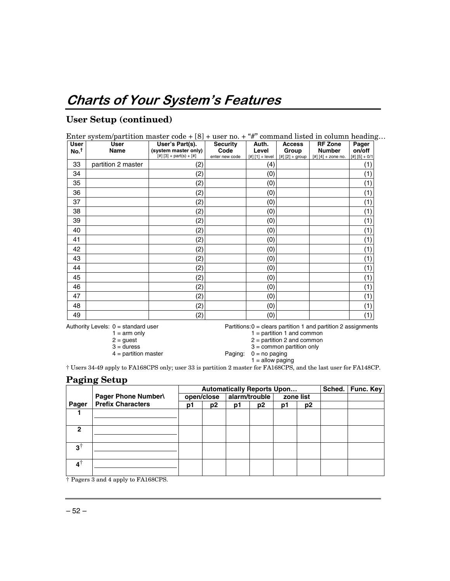## **User Setup (continued)**

| <b>User</b>      | Enter system/partition master code $+ [8] +$ user no. $+$ "#" command listed in column heading<br><b>User</b> | User's Part(s).           | <b>Security</b> | Auth.             | <b>Access</b>     | <b>RF Zone</b>                       | Pager  |
|------------------|---------------------------------------------------------------------------------------------------------------|---------------------------|-----------------|-------------------|-------------------|--------------------------------------|--------|
| No. <sup>†</sup> | Name                                                                                                          | (system master only)      | Code            | Level             | Group             | <b>Number</b>                        | on/off |
|                  |                                                                                                               | [#] $[3] + part(s) + [#]$ | enter new code  | $[#] [1] + level$ | $[#] [2] + group$ | $[#] [4] +$ zone no. $[#] [5] + 0/1$ |        |
| 33               | partition 2 master                                                                                            | (2)                       |                 | (4)               |                   |                                      | (1     |
| 34               |                                                                                                               | (2)                       |                 | (0)               |                   |                                      | (1)    |
| 35               |                                                                                                               | (2)                       |                 | (0)               |                   |                                      | (1)    |
| 36               |                                                                                                               | (2)                       |                 | (0)               |                   |                                      | (1)    |
| 37               |                                                                                                               | (2)                       |                 | (0)               |                   |                                      | (1)    |
| 38               |                                                                                                               | (2)                       |                 | (0)               |                   |                                      | (1)    |
| 39               |                                                                                                               | (2)                       |                 | (0)               |                   |                                      | (1)    |
| 40               |                                                                                                               | (2)                       |                 | (0)               |                   |                                      | (1)    |
| 41               |                                                                                                               | (2)                       |                 | (0)               |                   |                                      | (1)    |
| 42               |                                                                                                               | (2)                       |                 | (0)               |                   |                                      | (1)    |
| 43               |                                                                                                               | (2)                       |                 | (0)               |                   |                                      | (1)    |
| 44               |                                                                                                               | (2)                       |                 | (0)               |                   |                                      | (1)    |
| 45               |                                                                                                               | (2)                       |                 | (0)               |                   |                                      | (1)    |
| 46               |                                                                                                               | (2)                       |                 | (0)               |                   |                                      | (1     |
| 47               |                                                                                                               | (2)                       |                 | (0)               |                   |                                      | (1)    |
| 48               |                                                                                                               | (2)                       |                 | (0)               |                   |                                      | (1)    |
| 49               |                                                                                                               | (2)                       |                 | (0)               |                   |                                      | (1)    |

Authority Levels: 0 = standard user Partitions: 0 = clears partition 1 and partition 2 assignments<br>
1 = arm only 1 = partition 1 and common

 $1 = \text{arm only}$ <br>  $2 = \text{guest}$ <br>  $2 = \text{partition 1 and common}$ 

 $2 = \text{guest}$ <br> $3 = \text{duress}$ <br> $3 = \text{common partition only}$ 

 $3 =$  duress  $3 =$  common partition only  $4 =$  partition master  $9 =$  paging:  $0 =$  no paging Paging:  $0 =$  no paging

1 = allow paging

† Users 34-49 apply to FA168CPS only; user 33 is partition 2 master for FA168CPS, and the last user for FA148CP.

### **Paging Setup**

|               |                          |    | <b>Automatically Reports Upon</b> |    |                |    |                |  | Sched.   Func. Key |
|---------------|--------------------------|----|-----------------------------------|----|----------------|----|----------------|--|--------------------|
|               | Pager Phone Number\      |    | open/close                        |    | alarm/trouble  |    | zone list      |  |                    |
| Pager         | <b>Prefix Characters</b> | p1 | p <sub>2</sub>                    | p1 | p <sub>2</sub> | p1 | p <sub>2</sub> |  |                    |
|               |                          |    |                                   |    |                |    |                |  |                    |
|               |                          |    |                                   |    |                |    |                |  |                    |
| 2             |                          |    |                                   |    |                |    |                |  |                    |
|               |                          |    |                                   |    |                |    |                |  |                    |
| $3^{\dagger}$ |                          |    |                                   |    |                |    |                |  |                    |
|               |                          |    |                                   |    |                |    |                |  |                    |
| $4^{\dagger}$ |                          |    |                                   |    |                |    |                |  |                    |
|               |                          |    |                                   |    |                |    |                |  |                    |

†Pagers 3 and 4 apply to FA168CPS.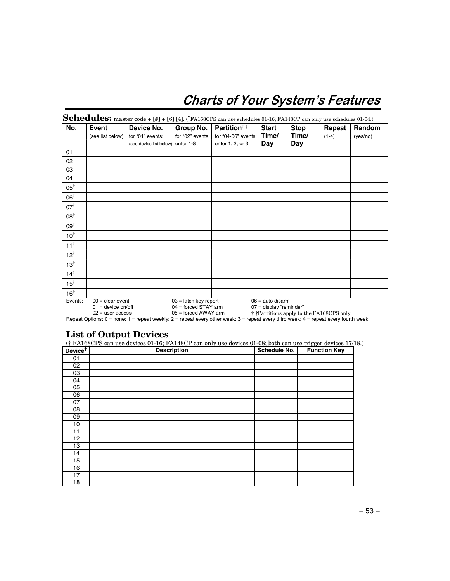## **Charts of Your System's Features**

|                 | Event            | Device No.              | Group No.        | <b>Partition</b> <sup>††</sup> | <b>Start</b> | <b>Stop</b> | Repeat  | Random   |
|-----------------|------------------|-------------------------|------------------|--------------------------------|--------------|-------------|---------|----------|
|                 | (see list below) | for "01" events:        | for "02" events: | for "04-06" events:            | Time/        | Time/       | $(1-4)$ | (yes/no) |
|                 |                  | (see device list below) | enter 1-8        | enter 1, 2, or 3               | Day          | Day         |         |          |
| 01              |                  |                         |                  |                                |              |             |         |          |
| 02              |                  |                         |                  |                                |              |             |         |          |
| 03              |                  |                         |                  |                                |              |             |         |          |
| 04              |                  |                         |                  |                                |              |             |         |          |
| $05^{\dagger}$  |                  |                         |                  |                                |              |             |         |          |
| 06 <sup>†</sup> |                  |                         |                  |                                |              |             |         |          |
| $07^{\dagger}$  |                  |                         |                  |                                |              |             |         |          |
| $08^\dagger$    |                  |                         |                  |                                |              |             |         |          |
| 09†             |                  |                         |                  |                                |              |             |         |          |
| $10^{\dagger}$  |                  |                         |                  |                                |              |             |         |          |
| $11^{\dagger}$  |                  |                         |                  |                                |              |             |         |          |
| $12^{\dagger}$  |                  |                         |                  |                                |              |             |         |          |
| $13^{\dagger}$  |                  |                         |                  |                                |              |             |         |          |
| $14^{\dagger}$  |                  |                         |                  |                                |              |             |         |          |
| $15^{\dagger}$  |                  |                         |                  |                                |              |             |         |          |
| $16^{\dagger}$  |                  |                         |                  |                                |              |             |         |          |

01 = device on/off 04 = forced STAY arm 07 = display "reminder"

 $00 = \text{deuro}$  and  $\text{devo} = \text{devo}$  and  $\text{devo} = \text{devo}$  and disarm<br>  $01 = \text{devo}$  and disarm<br>  $02 = \text{user access}$   $05 = \text{forced AWAY arm}$   $07 = \text{display 'reminder' }$  $02 =$  user access 05 = forced AWAY arm  $\ddot{\text{+}}$   $\ddot{\text{+}}$  Partitions apply to the FA168CPS only. Repeat Options: 0 = none; 1 = repeat weekly; 2 = repeat every other week; 3 = repeat every third week; 4 = repeat every fourth week

## **List of Output Devices**

(† FA168CPS can use devices 01-16; FA148CP can only use devices 01-08; both can use trigger devices 17/18.)

| Device <sup>†</sup> | <b>Description</b> | Schedule No. | <b>Function Key</b> |
|---------------------|--------------------|--------------|---------------------|
| 01                  |                    |              |                     |
| 02                  |                    |              |                     |
| 03                  |                    |              |                     |
| 04                  |                    |              |                     |
| 05                  |                    |              |                     |
| 06                  |                    |              |                     |
| 07                  |                    |              |                     |
| 08                  |                    |              |                     |
| 09                  |                    |              |                     |
| 10                  |                    |              |                     |
| 11                  |                    |              |                     |
| 12                  |                    |              |                     |
| 13                  |                    |              |                     |
| 14                  |                    |              |                     |
| 15                  |                    |              |                     |
| 16                  |                    |              |                     |
| 17                  |                    |              |                     |
| 18                  |                    |              |                     |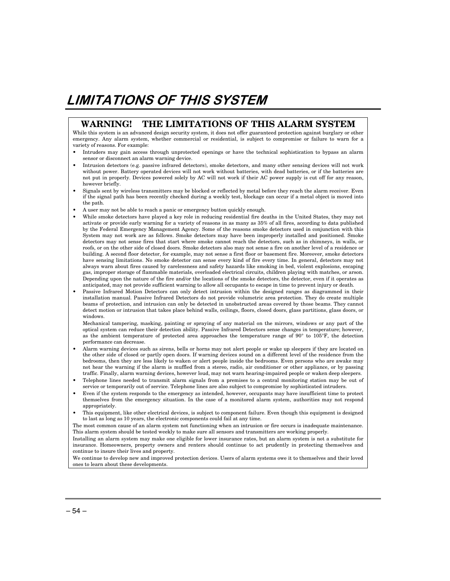## **LIMITATIONS OF THIS SYSTEM**

#### **WARNING! THE LIMITATIONS OF THIS ALARM SYSTEM**

While this system is an advanced design security system, it does not offer guaranteed protection against burglary or other emergency. Any alarm system, whether commercial or residential, is subject to compromise or failure to warn for a variety of reasons. For example:

- Intruders may gain access through unprotected openings or have the technical sophistication to bypass an alarm sensor or disconnect an alarm warning device.
- Intrusion detectors (e.g. passive infrared detectors), smoke detectors, and many other sensing devices will not work without power. Battery operated devices will not work without batteries, with dead batteries, or if the batteries are not put in properly. Devices powered solely by AC will not work if their AC power supply is cut off for any reason, however briefly.
- Signals sent by wireless transmitters may be blocked or reflected by metal before they reach the alarm receiver. Even if the signal path has been recently checked during a weekly test, blockage can occur if a metal object is moved into the path.
- A user may not be able to reach a panic or emergency button quickly enough.
- While smoke detectors have played a key role in reducing residential fire deaths in the United States, they may not activate or provide early warning for a variety of reasons in as many as 35% of all fires, according to data published by the Federal Emergency Management Agency. Some of the reasons smoke detectors used in conjunction with this System may not work are as follows. Smoke detectors may have been improperly installed and positioned. Smoke detectors may not sense fires that start where smoke cannot reach the detectors, such as in chimneys, in walls, or roofs, or on the other side of closed doors. Smoke detectors also may not sense a fire on another level of a residence or building. A second floor detector, for example, may not sense a first floor or basement fire. Moreover, smoke detectors have sensing limitations. No smoke detector can sense every kind of fire every time. In general, detectors may not always warn about fires caused by carelessness and safety hazards like smoking in bed, violent explosions, escaping gas, improper storage of flammable materials, overloaded electrical circuits, children playing with matches, or arson. Depending upon the nature of the fire and/or the locations of the smoke detectors, the detector, even if it operates as anticipated, may not provide sufficient warning to allow all occupants to escape in time to prevent injury or death.
- Passive Infrared Motion Detectors can only detect intrusion within the designed ranges as diagrammed in their installation manual. Passive Infrared Detectors do not provide volumetric area protection. They do create multiple beams of protection, and intrusion can only be detected in unobstructed areas covered by those beams. They cannot detect motion or intrusion that takes place behind walls, ceilings, floors, closed doors, glass partitions, glass doors, or windows.

 Mechanical tampering, masking, painting or spraying of any material on the mirrors, windows or any part of the optical system can reduce their detection ability. Passive Infrared Detectors sense changes in temperature; however, as the ambient temperature of protected area approaches the temperature range of 90° to 105°F, the detection performance can decrease.

- Alarm warning devices such as sirens, bells or horns may not alert people or wake up sleepers if they are located on the other side of closed or partly open doors. If warning devices sound on a different level of the residence from the bedrooms, then they are less likely to waken or alert people inside the bedrooms. Even persons who are awake may not hear the warning if the alarm is muffled from a stereo, radio, air conditioner or other appliance, or by passing traffic. Finally, alarm warning devices, however loud, may not warn hearing-impaired people or waken deep sleepers.
- Telephone lines needed to transmit alarm signals from a premises to a central monitoring station may be out of service or temporarily out of service. Telephone lines are also subject to compromise by sophisticated intruders.
- Even if the system responds to the emergency as intended, however, occupants may have insufficient time to protect themselves from the emergency situation. In the case of a monitored alarm system, authorities may not respond appropriately.
- This equipment, like other electrical devices, is subject to component failure. Even though this equipment is designed to last as long as 10 years, the electronic components could fail at any time.

The most common cause of an alarm system not functioning when an intrusion or fire occurs is inadequate maintenance. This alarm system should be tested weekly to make sure all sensors and transmitters are working properly.

Installing an alarm system may make one eligible for lower insurance rates, but an alarm system is not a substitute for insurance. Homeowners, property owners and renters should continue to act prudently in protecting themselves and continue to insure their lives and property.

We continue to develop new and improved protection devices. Users of alarm systems owe it to themselves and their loved ones to learn about these developments.